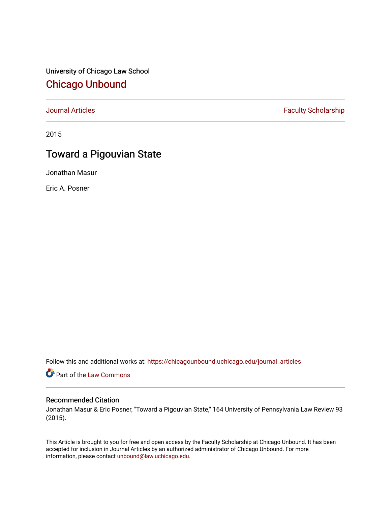University of Chicago Law School [Chicago Unbound](https://chicagounbound.uchicago.edu/)

[Journal Articles](https://chicagounbound.uchicago.edu/journal_articles) **Faculty Scholarship Faculty Scholarship** 

2015

# Toward a Pigouvian State

Jonathan Masur

Eric A. Posner

Follow this and additional works at: [https://chicagounbound.uchicago.edu/journal\\_articles](https://chicagounbound.uchicago.edu/journal_articles?utm_source=chicagounbound.uchicago.edu%2Fjournal_articles%2F8209&utm_medium=PDF&utm_campaign=PDFCoverPages) 

Part of the [Law Commons](http://network.bepress.com/hgg/discipline/578?utm_source=chicagounbound.uchicago.edu%2Fjournal_articles%2F8209&utm_medium=PDF&utm_campaign=PDFCoverPages)

## Recommended Citation

Jonathan Masur & Eric Posner, "Toward a Pigouvian State," 164 University of Pennsylvania Law Review 93 (2015).

This Article is brought to you for free and open access by the Faculty Scholarship at Chicago Unbound. It has been accepted for inclusion in Journal Articles by an authorized administrator of Chicago Unbound. For more information, please contact [unbound@law.uchicago.edu](mailto:unbound@law.uchicago.edu).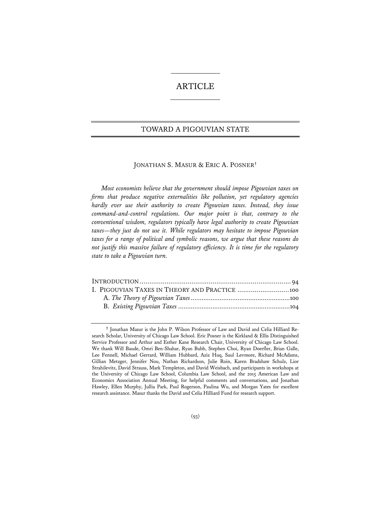# ARTICLE

## TOWARD A PIGOUVIAN STATE

### JONATHAN S. MASUR & ERIC A. POSNER**†**

*Most economists believe that the government should impose Pigouvian taxes on firms that produce negative externalities like pollution, yet regulatory agencies hardly ever use their authority to create Pigouvian taxes. Instead, they issue command-and-control regulations. Our major point is that, contrary to the conventional wisdom, regulators typically have legal authority to create Pigouvian taxes—they just do not use it. While regulators may hesitate to impose Pigouvian taxes for a range of political and symbolic reasons, we argue that these reasons do not justify this massive failure of regulatory efficiency. It is time for the regulatory state to take a Pigouvian turn.* 

**†** Jonathan Masur is the John P. Wilson Professor of Law and David and Celia Hilliard Research Scholar, University of Chicago Law School. Eric Posner is the Kirkland & Ellis Distinguished Service Professor and Arthur and Esther Kane Research Chair, University of Chicago Law School. We thank Will Baude, Omri Ben-Shahar, Ryan Bubb, Stephen Choi, Ryan Doerfler, Brian Galle, Lee Fennell, Michael Gerrard, William Hubbard, Aziz Huq, Saul Levmore, Richard McAdams, Gillian Metzger, Jennifer Nou, Nathan Richardson, Julie Roin, Karen Bradshaw Schulz, Lior Strahilevitz, David Strauss, Mark Templeton, and David Weisbach, and participants in workshops at the University of Chicago Law School, Columbia Law School, and the 2015 American Law and Economics Association Annual Meeting, for helpful comments and conversations, and Jonathan Hawley, Ellen Murphy, Jullia Park, Paul Rogerson, Paulina Wu, and Morgan Yates for excellent research assistance. Masur thanks the David and Celia Hilliard Fund for research support.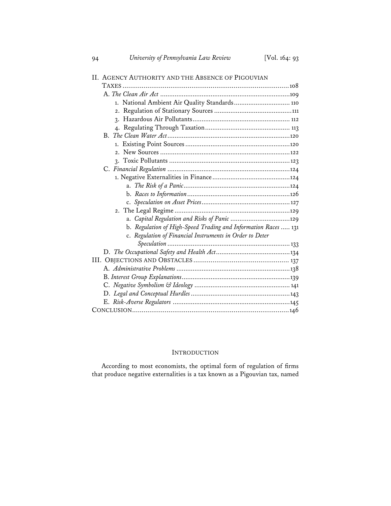| 1. National Ambient Air Quality Standards 110                  |
|----------------------------------------------------------------|
|                                                                |
|                                                                |
|                                                                |
|                                                                |
|                                                                |
|                                                                |
|                                                                |
|                                                                |
|                                                                |
|                                                                |
|                                                                |
|                                                                |
|                                                                |
|                                                                |
| b. Regulation of High-Speed Trading and Information Races  131 |
| c. Regulation of Financial Instruments in Order to Deter       |
|                                                                |
|                                                                |
|                                                                |
|                                                                |
|                                                                |
|                                                                |
|                                                                |
|                                                                |
|                                                                |

## II. AGENCY AUTHORITY AND THE ABSENCE OF PIGOUVIAN

## INTRODUCTION

According to most economists, the optimal form of regulation of firms that produce negative externalities is a tax known as a Pigouvian tax, named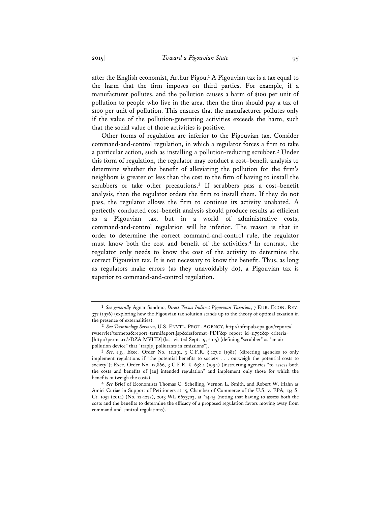after the English economist, Arthur Pigou.**<sup>1</sup>** A Pigouvian tax is a tax equal to the harm that the firm imposes on third parties. For example, if a manufacturer pollutes, and the pollution causes a harm of \$100 per unit of pollution to people who live in the area, then the firm should pay a tax of \$100 per unit of pollution. This ensures that the manufacturer pollutes only if the value of the pollution-generating activities exceeds the harm, such that the social value of those activities is positive.

Other forms of regulation are inferior to the Pigouvian tax. Consider command-and-control regulation, in which a regulator forces a firm to take a particular action, such as installing a pollution-reducing scrubber.**<sup>2</sup>** Under this form of regulation, the regulator may conduct a cost–benefit analysis to determine whether the benefit of alleviating the pollution for the firm's neighbors is greater or less than the cost to the firm of having to install the scrubbers or take other precautions.**<sup>3</sup>** If scrubbers pass a cost–benefit analysis, then the regulator orders the firm to install them. If they do not pass, the regulator allows the firm to continue its activity unabated. A perfectly conducted cost–benefit analysis should produce results as efficient as a Pigouvian tax, but in a world of administrative costs, command-and-control regulation will be inferior. The reason is that in order to determine the correct command-and-control rule, the regulator must know both the cost and benefit of the activities.**<sup>4</sup>** In contrast, the regulator only needs to know the cost of the activity to determine the correct Pigouvian tax. It is not necessary to know the benefit. Thus, as long as regulators make errors (as they unavoidably do), a Pigouvian tax is superior to command-and-control regulation.

**<sup>1</sup>** *See generally* Agnar Sandmo, *Direct Versus Indirect Pigouvian Taxation*, 7 EUR. ECON. REV. 337 (1976) (exploring how the Pigouvian tax solution stands up to the theory of optimal taxation in the presence of externalities).

**<sup>2</sup>** *See Terminology Services*, U.S. ENVTL. PROT. AGENCY, http://ofmpub.epa.gov/reports/ rwservlet?termepa&report=termReport.jsp&desformat=PDF&p\_report\_id=11792&p\_criteria= [http://perma.cc/2DZA-MVHD] (last visited Sept. 19, 2015) (defining "scrubber" as "an air pollution device" that "trap[s] pollutants in emissions").

**<sup>3</sup>** *See, e.g.*, Exec. Order No. 12,291, 3 C.F.R. § 127.2 (1982) (directing agencies to only implement regulations if "the potential benefits to society . . . outweigh the potential costs to society"); Exec. Order No. 12,866, 3 C.F.R. § 638.1 (1994) (instructing agencies "to assess both the costs and benefits of [an] intended regulation" and implement only those for which the benefits outweigh the costs). **<sup>4</sup>** *See* Brief of Economists Thomas C. Schelling, Vernon L. Smith, and Robert W. Hahn as

Amici Curiae in Support of Petitioners at 15, Chamber of Commerce of the U.S. v. EPA, 134 S. Ct. 1051 (2014) (No. 12-1272), 2013 WL 6673703, at \*14-15 (noting that having to assess both the costs and the benefits to determine the efficacy of a proposed regulation favors moving away from command-and-control regulations).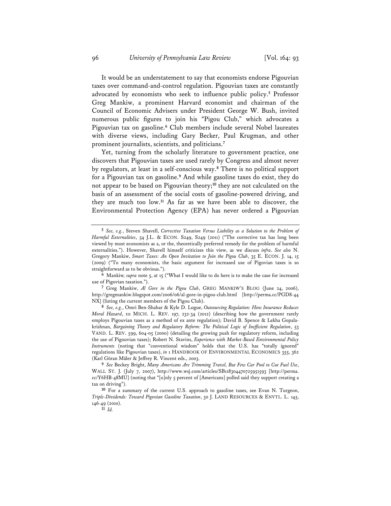It would be an understatement to say that economists endorse Pigouvian taxes over command-and-control regulation. Pigouvian taxes are constantly advocated by economists who seek to influence public policy.<sup>5</sup> Professor Greg Mankiw, a prominent Harvard economist and chairman of the Council of Economic Advisers under President George W. Bush, invited numerous public figures to join his "Pigou Club," which advocates a Pigouvian tax on gasoline.**<sup>6</sup>** Club members include several Nobel laureates with diverse views, including Gary Becker, Paul Krugman, and other prominent journalists, scientists, and politicians.**<sup>7</sup>**

Yet, turning from the scholarly literature to government practice, one discovers that Pigouvian taxes are used rarely by Congress and almost never by regulators, at least in a self-conscious way.**<sup>8</sup>** There is no political support for a Pigouvian tax on gasoline.**<sup>9</sup>** And while gasoline taxes do exist, they do not appear to be based on Pigouvian theory;**<sup>10</sup>** they are not calculated on the basis of an assessment of the social costs of gasoline-powered driving, and they are much too low.**<sup>11</sup>** As far as we have been able to discover, the Environmental Protection Agency (EPA) has never ordered a Pigouvian

**<sup>5</sup>** *See, e.g.*, Steven Shavell, *Corrective Taxation Versus Liability as a Solution to the Problem of Harmful Externalities*, 54 J.L. & ECON. S249, S249 (2011) ("The corrective tax has long been viewed by most economists as a, or the, theoretically preferred remedy for the problem of harmful externalities."). However, Shavell himself criticizes this view, as we discuss *infra*. *See also* N. Gregory Mankiw, *Smart Taxes: An Open Invitation to Join the Pigou Club*, 35 E. ECON. J. 14, 15 (2009) ("To many economists, the basic argument for increased use of Pigovian taxes is so straightforward as to be obvious.").

**<sup>6</sup>** Mankiw*, supra* note 5, at 15 ("What I would like to do here is to make the case for increased use of Pigovian taxation.").

**<sup>7</sup>** Greg Mankiw, *Al Gore in the Pigou Club*, GREG MANKIW'S BLOG (June 24, 2006), http://gregmankiw.blogspot.com/2006/06/al-gore-in-pigou-club.html [http://perma.cc/PGD8-44 NX] (listing the current members of the Pigou Club).

**<sup>8</sup>** *See, e.g.*, Omri Ben-Shahar & Kyle D. Logue, *Outsourcing Regulation: How Insurance Reduces Moral Hazard*, 111 MICH. L. REV. 197, 232-34 (2012) (describing how the government rarely employs Pigouvian taxes as a method of ex ante regulation); David B. Spence & Lekha Gopalakrishnan, *Bargaining Theory and Regulatory Reform: The Political Logic of Inefficient Regulation*, 53 VAND. L. REV. 599, 604-05 (2000) (detailing the growing push for regulatory reform, including the use of Pigouvian taxes); Robert N. Stavins, *Experience with Market-Based Environmental Policy Instruments* (noting that "conventional wisdom" holds that the U.S. has "totally ignored" regulations like Pigouvian taxes), *in* 1 HANDBOOK OF ENVIRONMENTAL ECONOMICS 355, 362 (Karl Göran Mäler & Jeffrey R. Vincent eds., 2003.

**<sup>9</sup>** *See* Beckey Bright, *Many Americans Are Trimming Travel, But Few Car Pool to Cut Fuel Use*, WALL ST. J. (July 7, 2007), http://www.wsj.com/articles/SB118304470725951593 [http://perma. cc/Y6HB-48MU] (noting that "[o]nly 5 percent of [Americans] polled said they support creating a tax on driving").

**<sup>10</sup>** For a summary of the current U.S. approach to gasoline taxes, see Evan N. Turgeon, *Triple-Dividends: Toward Pigovian Gasoline Taxation*, 30 J. LAND RESOURCES & ENVTL. L. 145, 146-49 (2010). **<sup>11</sup>** *Id.*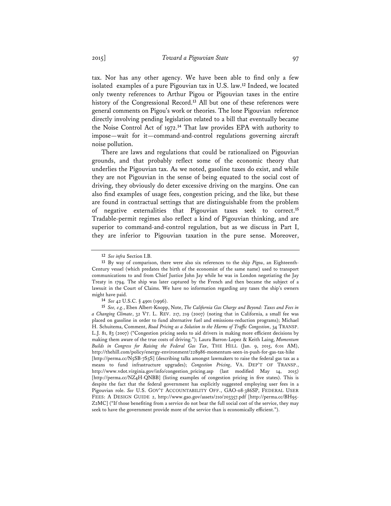tax. Nor has any other agency. We have been able to find only a few isolated examples of a pure Pigouvian tax in U.S. law.**<sup>12</sup>** Indeed, we located only twenty references to Arthur Pigou or Pigouvian taxes in the entire history of the Congressional Record.**<sup>13</sup>** All but one of these references were general comments on Pigou's work or theories. The lone Pigouvian reference directly involving pending legislation related to a bill that eventually became the Noise Control Act of 1972.**<sup>14</sup>** That law provides EPA with authority to impose—wait for it—command-and-control regulations governing aircraft noise pollution.

There are laws and regulations that could be rationalized on Pigouvian grounds, and that probably reflect some of the economic theory that underlies the Pigouvian tax. As we noted, gasoline taxes do exist, and while they are not Pigouvian in the sense of being equated to the social cost of driving, they obviously do deter excessive driving on the margins. One can also find examples of usage fees, congestion pricing, and the like, but these are found in contractual settings that are distinguishable from the problem of negative externalities that Pigouvian taxes seek to correct.**<sup>15</sup>** Tradable-permit regimes also reflect a kind of Pigouvian thinking, and are superior to command-and-control regulation, but as we discuss in Part I, they are inferior to Pigouvian taxation in the pure sense. Moreover,

**<sup>12</sup>** *See infra* Section I.B.

**<sup>13</sup>** By way of comparison, there were also six references to the ship *Pigou*, an Eighteenth-Century vessel (which predates the birth of the economist of the same name) used to transport communications to and from Chief Justice John Jay while he was in London negotiating the Jay Treaty in 1794. The ship was later captured by the French and then became the subject of a lawsuit in the Court of Claims. We have no information regarding any taxes the ship's owners might have paid. **<sup>14</sup>** *See* 42 U.S.C. § 4901 (1996).

**<sup>15</sup>** *See, e.g.*, Eben Albert-Knopp, Note, *The California Gas Charge and Beyond: Taxes and Fees in a Changing Climate*, 32 VT. L. REV. 217, 219 (2007) (noting that in California, a small fee was placed on gasoline in order to fund alternative fuel and emissions-reduction programs); Michael H. Schuitema, Comment, *Road Pricing as a Solution to the Harms of Traffic Congestion*, 34 TRANSP. L.J. 81, 83 (2007) ("Congestion pricing seeks to aid drivers in making more efficient decisions by making them aware of the true costs of driving."); Laura Barron-Lopez & Keith Laing, *Momentum Builds in Congress for Raising the Federal Gas Tax*, THE HILL (Jan. 9, 2015, 6:01 AM), http://thehill.com/policy/energy-environment/228986-momentum-seen-in-push-for-gas-tax-hike [http://perma.cc/N5SB-7S5S] (describing talks amongst lawmakers to raise the federal gas tax as a means to fund infrastructure upgrades); *Congestion Pricing*, VA. DEP'T OF TRANSP., http://www.vdot.virginia.gov/info/congestion\_pricing.asp (last modified May 14, 2015) [http://perma.cc/NZ4H-QNBB] (listing examples of congestion pricing in five states). This is despite the fact that the federal government has explicitly suggested employing user fees in a Pigouvian role. *See* U.S. GOV'T ACCOUNTABILITY OFF., GAO-08-386SP, FEDERAL USER FEES: A DESIGN GUIDE 2, http://www.gao.gov/assets/210/203357.pdf [http://perma.cc/BH95- Z2MC] ("If those benefiting from a service do not bear the full social cost of the service, they may seek to have the government provide more of the service than is economically efficient.").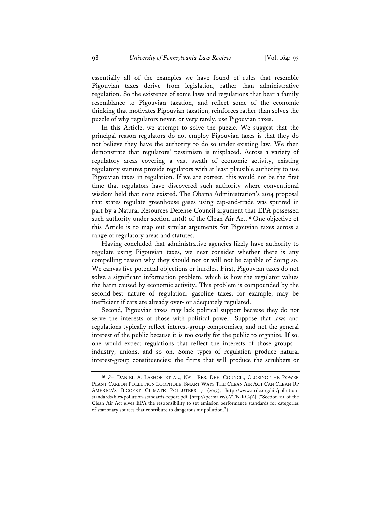essentially all of the examples we have found of rules that resemble Pigouvian taxes derive from legislation, rather than administrative regulation. So the existence of some laws and regulations that bear a family resemblance to Pigouvian taxation, and reflect some of the economic thinking that motivates Pigouvian taxation, reinforces rather than solves the puzzle of why regulators never, or very rarely, use Pigouvian taxes.

In this Article, we attempt to solve the puzzle. We suggest that the principal reason regulators do not employ Pigouvian taxes is that they do not believe they have the authority to do so under existing law. We then demonstrate that regulators' pessimism is misplaced. Across a variety of regulatory areas covering a vast swath of economic activity, existing regulatory statutes provide regulators with at least plausible authority to use Pigouvian taxes in regulation. If we are correct, this would not be the first time that regulators have discovered such authority where conventional wisdom held that none existed. The Obama Administration's 2014 proposal that states regulate greenhouse gases using cap-and-trade was spurred in part by a Natural Resources Defense Council argument that EPA possessed such authority under section 111(d) of the Clean Air Act.**<sup>16</sup>** One objective of this Article is to map out similar arguments for Pigouvian taxes across a range of regulatory areas and statutes.

Having concluded that administrative agencies likely have authority to regulate using Pigouvian taxes, we next consider whether there is any compelling reason why they should not or will not be capable of doing so. We canvas five potential objections or hurdles. First, Pigouvian taxes do not solve a significant information problem, which is how the regulator values the harm caused by economic activity. This problem is compounded by the second-best nature of regulation: gasoline taxes, for example, may be inefficient if cars are already over- or adequately regulated.

Second, Pigouvian taxes may lack political support because they do not serve the interests of those with political power. Suppose that laws and regulations typically reflect interest-group compromises, and not the general interest of the public because it is too costly for the public to organize. If so, one would expect regulations that reflect the interests of those groups industry, unions, and so on. Some types of regulation produce natural interest-group constituencies: the firms that will produce the scrubbers or

**<sup>16</sup>** *See* DANIEL A. LASHOF ET AL., NAT. RES. DEF. COUNCIL, CLOSING THE POWER PLANT CARBON POLLUTION LOOPHOLE: SMART WAYS THE CLEAN AIR ACT CAN CLEAN UP AMERICA'S BIGGEST CLIMATE POLLUTERS 7 (2013), http://www.nrdc.org/air/pollutionstandards/files/pollution-standards-report.pdf [http://perma.cc/9VTN-KC4Z] ("Section 111 of the Clean Air Act gives EPA the responsibility to set emission performance standards for categories of stationary sources that contribute to dangerous air pollution.").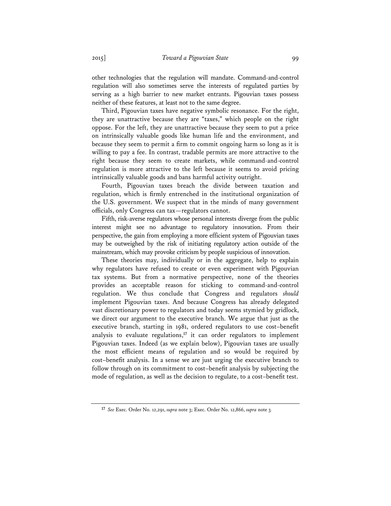other technologies that the regulation will mandate. Command-and-control regulation will also sometimes serve the interests of regulated parties by serving as a high barrier to new market entrants. Pigouvian taxes possess neither of these features, at least not to the same degree.

Third, Pigouvian taxes have negative symbolic resonance. For the right, they are unattractive because they are "taxes," which people on the right oppose. For the left, they are unattractive because they seem to put a price on intrinsically valuable goods like human life and the environment, and because they seem to permit a firm to commit ongoing harm so long as it is willing to pay a fee. In contrast, tradable permits are more attractive to the right because they seem to create markets, while command-and-control regulation is more attractive to the left because it seems to avoid pricing intrinsically valuable goods and bans harmful activity outright.

Fourth, Pigouvian taxes breach the divide between taxation and regulation, which is firmly entrenched in the institutional organization of the U.S. government. We suspect that in the minds of many government officials, only Congress can tax—regulators cannot.

Fifth, risk-averse regulators whose personal interests diverge from the public interest might see no advantage to regulatory innovation. From their perspective, the gain from employing a more efficient system of Pigouvian taxes may be outweighed by the risk of initiating regulatory action outside of the mainstream, which may provoke criticism by people suspicious of innovation.

These theories may, individually or in the aggregate, help to explain why regulators have refused to create or even experiment with Pigouvian tax systems. But from a normative perspective, none of the theories provides an acceptable reason for sticking to command-and-control regulation. We thus conclude that Congress and regulators *should* implement Pigouvian taxes. And because Congress has already delegated vast discretionary power to regulators and today seems stymied by gridlock, we direct our argument to the executive branch. We argue that just as the executive branch, starting in 1981, ordered regulators to use cost–benefit analysis to evaluate regulations,**<sup>17</sup>** it can order regulators to implement Pigouvian taxes. Indeed (as we explain below), Pigouvian taxes are usually the most efficient means of regulation and so would be required by cost–benefit analysis. In a sense we are just urging the executive branch to follow through on its commitment to cost–benefit analysis by subjecting the mode of regulation, as well as the decision to regulate, to a cost–benefit test.

**<sup>17</sup>** *See* Exec. Order No. 12,291, *supra* note 3; Exec. Order No. 12,866, *supra* note 3.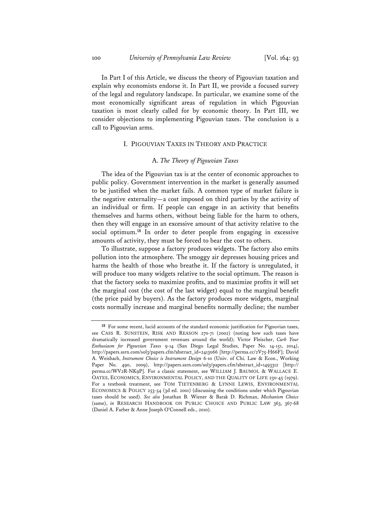In Part I of this Article, we discuss the theory of Pigouvian taxation and explain why economists endorse it. In Part II, we provide a focused survey of the legal and regulatory landscape. In particular, we examine some of the most economically significant areas of regulation in which Pigouvian taxation is most clearly called for by economic theory. In Part III, we consider objections to implementing Pigouvian taxes. The conclusion is a call to Pigouvian arms.

## I. PIGOUVIAN TAXES IN THEORY AND PRACTICE

#### A. *The Theory of Pigouvian Taxes*

The idea of the Pigouvian tax is at the center of economic approaches to public policy. Government intervention in the market is generally assumed to be justified when the market fails. A common type of market failure is the negative externality—a cost imposed on third parties by the activity of an individual or firm. If people can engage in an activity that benefits themselves and harms others, without being liable for the harm to others, then they will engage in an excessive amount of that activity relative to the social optimum.**<sup>18</sup>** In order to deter people from engaging in excessive amounts of activity, they must be forced to bear the cost to others.

To illustrate, suppose a factory produces widgets. The factory also emits pollution into the atmosphere. The smoggy air depresses housing prices and harms the health of those who breathe it. If the factory is unregulated, it will produce too many widgets relative to the social optimum. The reason is that the factory seeks to maximize profits, and to maximize profits it will set the marginal cost (the cost of the last widget) equal to the marginal benefit (the price paid by buyers). As the factory produces more widgets, marginal costs normally increase and marginal benefits normally decline; the number

**<sup>18</sup>** For some recent, lucid accounts of the standard economic justification for Pigouvian taxes, see CASS R. SUNSTEIN, RISK AND REASON 270-71 (2002) (noting how such taxes have dramatically increased government revenues around the world); Victor Fleischer, *Curb Your Enthusiasm for Pigouvian Taxes* 9-14 (San Diego Legal Studies, Paper No. 14-151, 2014), http://papers.ssrn.com/sol3/papers.cfm?abstract\_id=2413066 [http://perma.cc/2V75-H66F]; David A. Weisbach, *Instrument Choice is Instrument Design* 6-10 (Univ. of Chi. Law & Econ., Working Paper No. 490, 2009), http://papers.ssrn.com/sol3/papers.cfm?abstract\_id=1493312 [http:// perma.cc/WV2R-NK9P]. For a classic statement, see WILLIAM J. BAUMOL & WALLACE E. OATES, ECONOMICS, ENVIRONMENTAL POLICY, AND THE QUALITY OF LIFE 230-45 (1979). For a textbook treatment, see TOM TIETENBERG & LYNNE LEWIS, ENVIRONMENTAL ECONOMICS & POLICY 253-54 (3d ed. 2001) (discussing the conditions under which Pigouvian taxes should be used). *See also* Jonathan B. Wiener & Barak D. Richman, *Mechanism Choice* (same), *in* RESEARCH HANDBOOK ON PUBLIC CHOICE AND PUBLIC LAW 363, 367-68 (Daniel A. Farber & Anne Joseph O'Connell eds., 2010).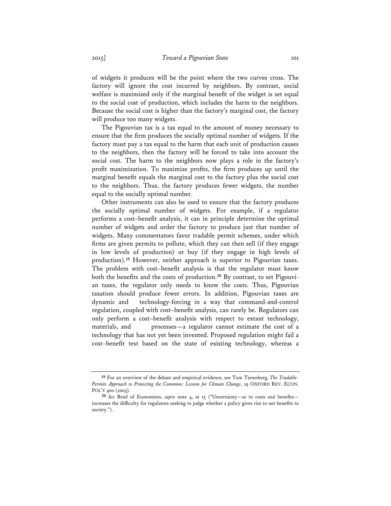of widgets it produces will be the point where the two curves cross. The factory will ignore the cost incurred by neighbors. By contrast, social welfare is maximized only if the marginal benefit of the widget is set equal to the social cost of production, which includes the harm to the neighbors. Because the social cost is higher than the factory's marginal cost, the factory will produce too many widgets.

The Pigouvian tax is a tax equal to the amount of money necessary to ensure that the firm produces the socially optimal number of widgets. If the factory must pay a tax equal to the harm that each unit of production causes to the neighbors, then the factory will be forced to take into account the social cost. The harm to the neighbors now plays a role in the factory's profit maximization. To maximize profits, the firm produces up until the marginal benefit equals the marginal cost to the factory plus the social cost to the neighbors. Thus, the factory produces fewer widgets, the number equal to the socially optimal number.

Other instruments can also be used to ensure that the factory produces the socially optimal number of widgets. For example, if a regulator performs a cost–benefit analysis, it can in principle determine the optimal number of widgets and order the factory to produce just that number of widgets. Many commentators favor tradable permit schemes, under which firms are given permits to pollute, which they can then sell (if they engage in low levels of production) or buy (if they engage in high levels of production).**<sup>19</sup>** However, neither approach is superior to Pigouvian taxes. The problem with cost–benefit analysis is that the regulator must know both the benefits and the costs of production.**<sup>20</sup>** By contrast, to set Pigouvian taxes, the regulator only needs to know the costs. Thus, Pigouvian taxation should produce fewer errors. In addition, Pigouvian taxes are dynamic and technology-forcing in a way that command-and-control regulation, coupled with cost–benefit analysis, can rarely be. Regulators can only perform a cost–benefit analysis with respect to extant technology, materials, and processes—a regulator cannot estimate the cost of a technology that has not yet been invented. Proposed regulation might fail a cost–benefit test based on the state of existing technology, whereas a

**<sup>19</sup>** For an overview of the debate and empirical evidence, see Tom Tietenberg, *The Tradable-Permits Approach to Protecting the Commons: Lessons for Climate Change*, 19 OXFORD REV. ECON. POL'Y 400 (2003).

**<sup>20</sup>** *See* Brief of Economists, *supra* note 4, at 15 ("Uncertainty—as to costs *and* benefits increases the difficulty for regulators seeking to judge whether a policy gives rise to net benefits to society.").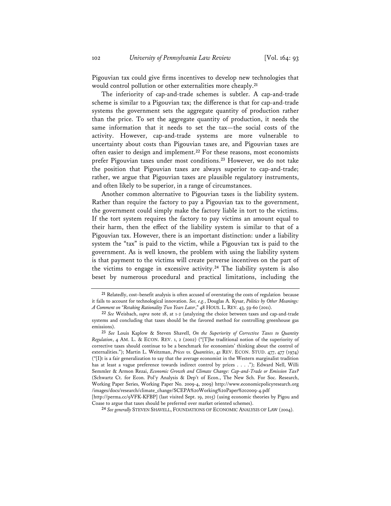Pigouvian tax could give firms incentives to develop new technologies that would control pollution or other externalities more cheaply.**<sup>21</sup>**

The inferiority of cap-and-trade schemes is subtler. A cap-and-trade scheme is similar to a Pigouvian tax; the difference is that for cap-and-trade systems the government sets the aggregate quantity of production rather than the price. To set the aggregate quantity of production, it needs the same information that it needs to set the tax—the social costs of the activity. However, cap-and-trade systems are more vulnerable to uncertainty about costs than Pigouvian taxes are, and Pigouvian taxes are often easier to design and implement.**<sup>22</sup>** For these reasons, most economists prefer Pigouvian taxes under most conditions.**<sup>23</sup>** However, we do not take the position that Pigouvian taxes are always superior to cap-and-trade; rather, we argue that Pigouvian taxes are plausible regulatory instruments, and often likely to be superior, in a range of circumstances.

Another common alternative to Pigouvian taxes is the liability system. Rather than require the factory to pay a Pigouvian tax to the government, the government could simply make the factory liable in tort to the victims. If the tort system requires the factory to pay victims an amount equal to their harm, then the effect of the liability system is similar to that of a Pigouvian tax. However, there is an important distinction: under a liability system the "tax" is paid to the victim, while a Pigouvian tax is paid to the government. As is well known, the problem with using the liability system is that payment to the victims will create perverse incentives on the part of the victims to engage in excessive activity.**<sup>24</sup>** The liability system is also beset by numerous procedural and practical limitations, including the

**<sup>21</sup>** Relatedly, cost–benefit analysis is often accused of overstating the costs of regulation because it fails to account for technological innovation. *See, e.g.*, Douglas A. Kysar, *Politics by Other Meanings: A Comment on "Retaking Rationality Two Years Later*," 48 HOUS. L. REV. 43, 59-60 (2011).

**<sup>22</sup>** *See* Weisbach, *supra* note 18, at 1-2 (analyzing the choice between taxes and cap-and-trade systems and concluding that taxes should be the favored method for controlling greenhouse gas emissions).

**<sup>23</sup>** *See* Louis Kaplow & Steven Shavell, *On the Superiority of Corrective Taxes to Quantity Regulation*, 4 AM. L. & ECON. REV. 1, 2 (2002) ("[T]he traditional notion of the superiority of corrective taxes should continue to be a benchmark for economists' thinking about the control of externalities."); Martin L. Weitzman, *Prices vs. Quantities*, 41 REV. ECON. STUD. 477, 477 (1974) ("[I]t is a fair generalization to say that the average economist in the Western marginalist tradition has at least a vague preference towards indirect control by prices . . . ."); Edward Nell, Willi Semmler & Armon Rezai, *Economic Growth and Climate Change: Cap-and-Trade or Emission Tax?* (Schwartz Ct. for Econ. Pol'y Analysis & Dep't of Econ., The New Sch. For Soc. Research, Working Paper Series, Working Paper No. 2009-4, 2009) http://www.economicpolicyresearch.org /images/docs/research/climate\_change/SCEPA%20Working%20Paper%202009-4.pdf

<sup>[</sup>http://perma.cc/9VFK-KFBP] (last visited Sept. 19, 2015) (using economic theories by Pigou and Coase to argue that taxes should be preferred over market oriented schemes).

**<sup>24</sup>** *See generally* STEVEN SHAVELL, FOUNDATIONS OF ECONOMIC ANALYSIS OF LAW (2004).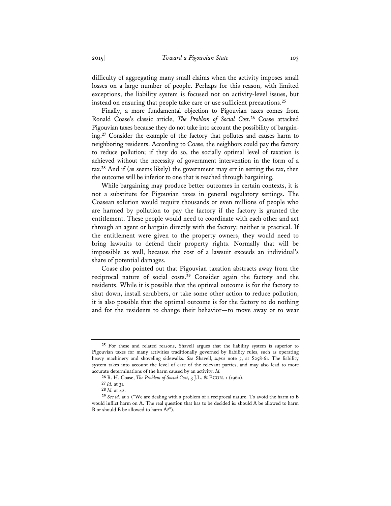difficulty of aggregating many small claims when the activity imposes small losses on a large number of people. Perhaps for this reason, with limited exceptions, the liability system is focused not on activity-level issues, but instead on ensuring that people take care or use sufficient precautions.**<sup>25</sup>**

Finally, a more fundamental objection to Pigouvian taxes comes from Ronald Coase's classic article, *The Problem of Social Cost*. **<sup>26</sup>** Coase attacked Pigouvian taxes because they do not take into account the possibility of bargaining.**<sup>27</sup>** Consider the example of the factory that pollutes and causes harm to neighboring residents. According to Coase, the neighbors could pay the factory to reduce pollution; if they do so, the socially optimal level of taxation is achieved without the necessity of government intervention in the form of a tax.**<sup>28</sup>** And if (as seems likely) the government may err in setting the tax, then the outcome will be inferior to one that is reached through bargaining.

While bargaining may produce better outcomes in certain contexts, it is not a substitute for Pigouvian taxes in general regulatory settings. The Coasean solution would require thousands or even millions of people who are harmed by pollution to pay the factory if the factory is granted the entitlement. These people would need to coordinate with each other and act through an agent or bargain directly with the factory; neither is practical. If the entitlement were given to the property owners, they would need to bring lawsuits to defend their property rights. Normally that will be impossible as well, because the cost of a lawsuit exceeds an individual's share of potential damages.

Coase also pointed out that Pigouvian taxation abstracts away from the reciprocal nature of social costs.**<sup>29</sup>** Consider again the factory and the residents. While it is possible that the optimal outcome is for the factory to shut down, install scrubbers, or take some other action to reduce pollution, it is also possible that the optimal outcome is for the factory to do nothing and for the residents to change their behavior—to move away or to wear

**<sup>25</sup>** For these and related reasons, Shavell argues that the liability system is superior to Pigouvian taxes for many activities traditionally governed by liability rules, such as operating heavy machinery and shoveling sidewalks. *See* Shavell, *supra* note 5, at S258-61. The liability system takes into account the level of care of the relevant parties, and may also lead to more accurate determinations of the harm caused by an activity. *Id.*

**<sup>26</sup>** R. H. Coase, *The Problem of Social Cost*, 3 J.L. & ECON. 1 (1960).

**<sup>27</sup>** *Id.* at 31.

**<sup>28</sup>** *Id.* at 42.

**<sup>29</sup>** *See id.* at 2 ("We are dealing with a problem of a reciprocal nature. To avoid the harm to B would inflict harm on A. The real question that has to be decided is: should A be allowed to harm B or should B be allowed to harm A?").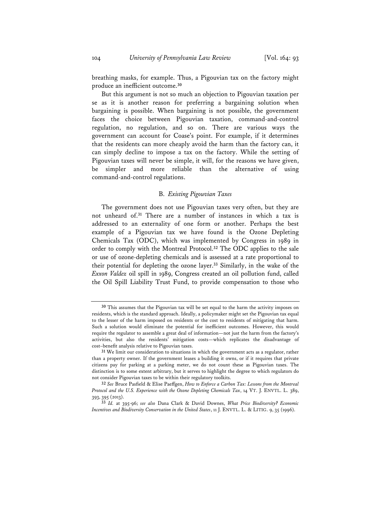breathing masks, for example. Thus, a Pigouvian tax on the factory might produce an inefficient outcome.**<sup>30</sup>**

But this argument is not so much an objection to Pigouvian taxation per se as it is another reason for preferring a bargaining solution when bargaining is possible. When bargaining is not possible, the government faces the choice between Pigouvian taxation, command-and-control regulation, no regulation, and so on. There are various ways the government can account for Coase's point. For example, if it determines that the residents can more cheaply avoid the harm than the factory can, it can simply decline to impose a tax on the factory. While the setting of Pigouvian taxes will never be simple, it will, for the reasons we have given, be simpler and more reliable than the alternative of using command-and-control regulations.

#### B. *Existing Pigouvian Taxes*

The government does not use Pigouvian taxes very often, but they are not unheard of.**<sup>31</sup>** There are a number of instances in which a tax is addressed to an externality of one form or another. Perhaps the best example of a Pigouvian tax we have found is the Ozone Depleting Chemicals Tax (ODC), which was implemented by Congress in 1989 in order to comply with the Montreal Protocol.**<sup>32</sup>** The ODC applies to the sale or use of ozone-depleting chemicals and is assessed at a rate proportional to their potential for depleting the ozone layer.**<sup>33</sup>** Similarly, in the wake of the *Exxon Valdez* oil spill in 1989, Congress created an oil pollution fund, called the Oil Spill Liability Trust Fund, to provide compensation to those who

**<sup>30</sup>** This assumes that the Pigouvian tax will be set equal to the harm the activity imposes on residents, which is the standard approach. Ideally, a policymaker might set the Pigouvian tax equal to the lesser of the harm imposed on residents or the cost to residents of mitigating that harm. Such a solution would eliminate the potential for inefficient outcomes. However, this would require the regulator to assemble a great deal of information—not just the harm from the factory's activities, but also the residents' mitigation costs—which replicates the disadvantage of cost–benefit analysis relative to Pigouvian taxes.

**<sup>31</sup>** We limit our consideration to situations in which the government acts as a regulator, rather than a property owner. If the government leases a building it owns, or if it requires that private citizens pay for parking at a parking meter, we do not count these as Pigouvian taxes. The distinction is to some extent arbitrary, but it serves to highlight the degree to which regulators do not consider Pigouvian taxes to be within their regulatory toolkits.

**<sup>32</sup>** *See* Bruce Pasfield & Elise Paeffgen, *How to Enforce a Carbon Tax: Lessons from the Montreal Protocol and the U.S. Experience with the Ozone Depleting Chemicals Tax*, 14 VT. J. ENVTL. L. 389, 393, 395 (2013).

**<sup>33</sup>** *Id.* at 395-96; *see also* Dana Clark & David Downes, *What Price Biodiversity? Economic Incentives and Biodiversity Conservation in the United States*, 11 J. ENVTL. L. & LITIG. 9, 35 (1996).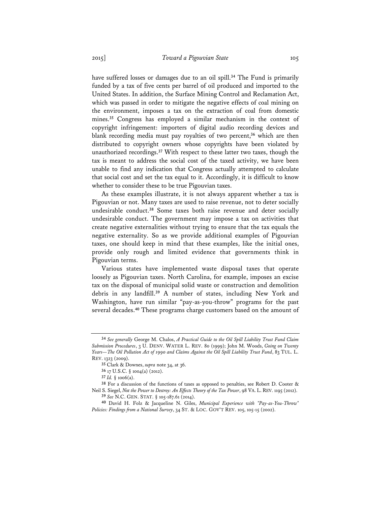have suffered losses or damages due to an oil spill.**<sup>34</sup>** The Fund is primarily funded by a tax of five cents per barrel of oil produced and imported to the United States. In addition, the Surface Mining Control and Reclamation Act, which was passed in order to mitigate the negative effects of coal mining on the environment, imposes a tax on the extraction of coal from domestic mines.**<sup>35</sup>** Congress has employed a similar mechanism in the context of copyright infringement: importers of digital audio recording devices and blank recording media must pay royalties of two percent,**<sup>36</sup>** which are then distributed to copyright owners whose copyrights have been violated by unauthorized recordings.**<sup>37</sup>** With respect to these latter two taxes, though the tax is meant to address the social cost of the taxed activity, we have been unable to find any indication that Congress actually attempted to calculate that social cost and set the tax equal to it. Accordingly, it is difficult to know whether to consider these to be true Pigouvian taxes.

As these examples illustrate, it is not always apparent whether a tax is Pigouvian or not. Many taxes are used to raise revenue, not to deter socially undesirable conduct.**<sup>38</sup>** Some taxes both raise revenue and deter socially undesirable conduct. The government may impose a tax on activities that create negative externalities without trying to ensure that the tax equals the negative externality. So as we provide additional examples of Pigouvian taxes, one should keep in mind that these examples, like the initial ones, provide only rough and limited evidence that governments think in Pigouvian terms.

Various states have implemented waste disposal taxes that operate loosely as Pigouvian taxes. North Carolina, for example, imposes an excise tax on the disposal of municipal solid waste or construction and demolition debris in any landfill.**<sup>39</sup>** A number of states, including New York and Washington, have run similar "pay-as-you-throw" programs for the past several decades.**<sup>40</sup>** These programs charge customers based on the amount of

**<sup>34</sup>** *See generally* George M. Chalos, *A Practical Guide to the Oil Spill Liability Trust Fund Claim Submission Procedures*, 3 U. DENV. WATER L. REV. 80 (1999); John M. Woods, *Going on Twenty Years—The Oil Pollution Act of 1990 and Claims Against the Oil Spill Liability Trust Fund*, 83 TUL. L. REV. 1323 (2009).

**<sup>35</sup>** Clark & Downes, *supra* note 34, at 36.

**<sup>36</sup>** 17 U.S.C. § 1004(a) (2012).

**<sup>37</sup>** *Id.* § 1006(a).

**<sup>38</sup>** For a discussion of the functions of taxes as opposed to penalties, see Robert D. Cooter & Neil S. Siegel, *Not the Power to Destroy: An Effects Theory of the Tax Power*, 98 VA. L. REV. 1195 (2012). **<sup>39</sup>** *See* N.C. GEN. STAT. § 105-187.61 (2014).

**<sup>40</sup>** David H. Folz & Jacqueline N. Giles, *Municipal Experience with "Pay-as-You-Throw" Policies: Findings from a National Survey*, 34 ST. & LOC. GOV'T REV. 105, 105-15 (2002).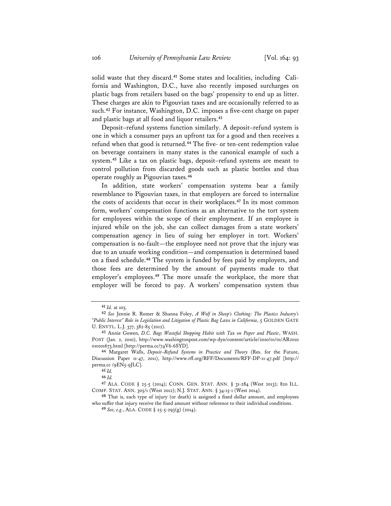solid waste that they discard.**<sup>41</sup>** Some states and localities, including California and Washington, D.C., have also recently imposed surcharges on plastic bags from retailers based on the bags' propensity to end up as litter. These charges are akin to Pigouvian taxes and are occasionally referred to as such.**<sup>42</sup>** For instance, Washington, D.C. imposes a five-cent charge on paper and plastic bags at all food and liquor retailers.**<sup>43</sup>**

Deposit–refund systems function similarly. A deposit–refund system is one in which a consumer pays an upfront tax for a good and then receives a refund when that good is returned.**<sup>44</sup>** The five- or ten-cent redemption value on beverage containers in many states is the canonical example of such a system.**<sup>45</sup>** Like a tax on plastic bags, deposit–refund systems are meant to control pollution from discarded goods such as plastic bottles and thus operate roughly as Pigouvian taxes.**<sup>46</sup>**

In addition, state workers' compensation systems bear a family resemblance to Pigouvian taxes, in that employers are forced to internalize the costs of accidents that occur in their workplaces.**<sup>47</sup>** In its most common form, workers' compensation functions as an alternative to the tort system for employees within the scope of their employment. If an employee is injured while on the job, she can collect damages from a state workers' compensation agency in lieu of suing her employer in tort. Workers' compensation is no-fault—the employee need not prove that the injury was due to an unsafe working condition—and compensation is determined based on a fixed schedule.**<sup>48</sup>** The system is funded by fees paid by employers, and those fees are determined by the amount of payments made to that employer's employees.**<sup>49</sup>** The more unsafe the workplace, the more that employer will be forced to pay. A workers' compensation system thus

**<sup>41</sup>** *Id.* at 105.

**<sup>42</sup>** *See* Jennie R. Romer & Shanna Foley, *A Wolf in Sheep's Clothing: The Plastics Industry's "Public Interest" Role in Legislation and Litigation of Plastic Bag Laws in California*, 5 GOLDEN GATE U. ENVTL. L.J. 377, 382-85 (2012).

**<sup>43</sup>** Annie Gowen, *D.C. Bags Wasteful Shopping Habit with Tax on Paper and Plastic*, WASH. POST (Jan. 2, 2010), http://www.washingtonpost.com/wp-dyn/content/article/2010/01/01/AR2010 010101673.html [http://perma.cc/74V6-6SYD]. **44** Margaret Walls, *Deposit*–*Refund Systems in Practice and Theory* (Res. for the Future,

Discussion Paper 11-47, 2011), http://www.rff.org/RFF/Documents/RFF-DP-11-47.pdf [http:// perma.cc /9EN5-9JLC].

**<sup>45</sup>** *Id.*

**<sup>46</sup>** *Id.*

**<sup>47</sup>** ALA. CODE § 25-5 (2014); CONN. GEN. STAT. ANN. § 31-284 (West 2013); 820 ILL. COMP. STAT. ANN. 305/1 (West 2012); N.J. STAT. ANN. § 34:15-1 (West 2014).

**<sup>48</sup>** That is, each type of injury (or death) is assigned a fixed dollar amount, and employees who suffer that injury receive the fixed amount without reference to their individual conditions.

**<sup>49</sup>** *See, e.g.*, ALA. CODE § 25-5-293(g) (2014).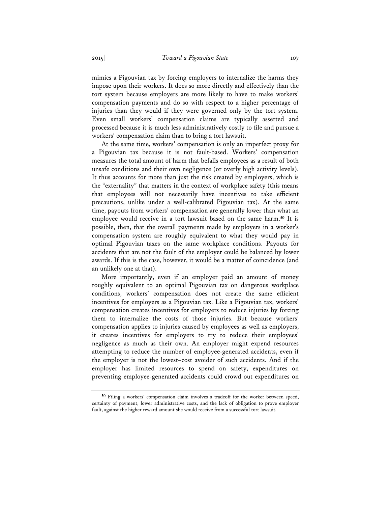mimics a Pigouvian tax by forcing employers to internalize the harms they impose upon their workers. It does so more directly and effectively than the tort system because employers are more likely to have to make workers' compensation payments and do so with respect to a higher percentage of injuries than they would if they were governed only by the tort system. Even small workers' compensation claims are typically asserted and processed because it is much less administratively costly to file and pursue a workers' compensation claim than to bring a tort lawsuit.

At the same time, workers' compensation is only an imperfect proxy for a Pigouvian tax because it is not fault-based. Workers' compensation measures the total amount of harm that befalls employees as a result of both unsafe conditions and their own negligence (or overly high activity levels). It thus accounts for more than just the risk created by employers, which is the "externality" that matters in the context of workplace safety (this means that employees will not necessarily have incentives to take efficient precautions, unlike under a well-calibrated Pigouvian tax). At the same time, payouts from workers' compensation are generally lower than what an employee would receive in a tort lawsuit based on the same harm.**<sup>50</sup>** It is possible, then, that the overall payments made by employers in a worker's compensation system are roughly equivalent to what they would pay in optimal Pigouvian taxes on the same workplace conditions. Payouts for accidents that are not the fault of the employer could be balanced by lower awards. If this is the case, however, it would be a matter of coincidence (and an unlikely one at that).

More importantly, even if an employer paid an amount of money roughly equivalent to an optimal Pigouvian tax on dangerous workplace conditions, workers' compensation does not create the same efficient incentives for employers as a Pigouvian tax. Like a Pigouvian tax, workers' compensation creates incentives for employers to reduce injuries by forcing them to internalize the costs of those injuries. But because workers' compensation applies to injuries caused by employees as well as employers, it creates incentives for employers to try to reduce their employees' negligence as much as their own. An employer might expend resources attempting to reduce the number of employee-generated accidents, even if the employer is not the lowest–cost avoider of such accidents. And if the employer has limited resources to spend on safety, expenditures on preventing employee-generated accidents could crowd out expenditures on

**<sup>50</sup>** Filing a workers' compensation claim involves a tradeoff for the worker between speed, certainty of payment, lower administrative costs, and the lack of obligation to prove employer fault, against the higher reward amount she would receive from a successful tort lawsuit.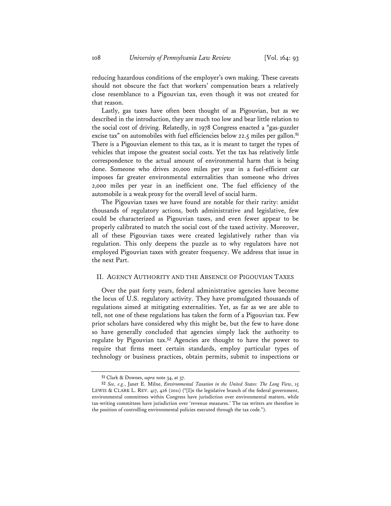reducing hazardous conditions of the employer's own making. These caveats should not obscure the fact that workers' compensation bears a relatively close resemblance to a Pigouvian tax, even though it was not created for that reason.

Lastly, gas taxes have often been thought of as Pigouvian, but as we described in the introduction, they are much too low and bear little relation to the social cost of driving. Relatedly, in 1978 Congress enacted a "gas-guzzler excise tax" on automobiles with fuel efficiencies below 22.5 miles per gallon.**<sup>51</sup>** There is a Pigouvian element to this tax, as it is meant to target the types of vehicles that impose the greatest social costs. Yet the tax has relatively little correspondence to the actual amount of environmental harm that is being done. Someone who drives 20,000 miles per year in a fuel-efficient car imposes far greater environmental externalities than someone who drives 2,000 miles per year in an inefficient one. The fuel efficiency of the automobile is a weak proxy for the overall level of social harm.

 The Pigouvian taxes we have found are notable for their rarity: amidst thousands of regulatory actions, both administrative and legislative, few could be characterized as Pigouvian taxes, and even fewer appear to be properly calibrated to match the social cost of the taxed activity. Moreover, all of these Pigouvian taxes were created legislatively rather than via regulation. This only deepens the puzzle as to why regulators have not employed Pigouvian taxes with greater frequency. We address that issue in the next Part.

## II. AGENCY AUTHORITY AND THE ABSENCE OF PIGOUVIAN TAXES

Over the past forty years, federal administrative agencies have become the locus of U.S. regulatory activity. They have promulgated thousands of regulations aimed at mitigating externalities. Yet, as far as we are able to tell, not one of these regulations has taken the form of a Pigouvian tax. Few prior scholars have considered why this might be, but the few to have done so have generally concluded that agencies simply lack the authority to regulate by Pigouvian tax.**<sup>52</sup>** Agencies are thought to have the power to require that firms meet certain standards, employ particular types of technology or business practices, obtain permits, submit to inspections or

**<sup>51</sup>** Clark & Downes, *supra* note 34, at 37.

**<sup>52</sup>** *See, e.g.*, Janet E. Milne, *Environmental Taxation in the United States: The Long View*, 15 LEWIS & CLARK L. REV. 417, 426 (2011) ("[I]n the legislative branch of the federal government, environmental committees within Congress have jurisdiction over environmental matters, while tax-writing committees have jurisdiction over 'revenue measures.' The tax writers are therefore in the position of controlling environmental policies executed through the tax code.").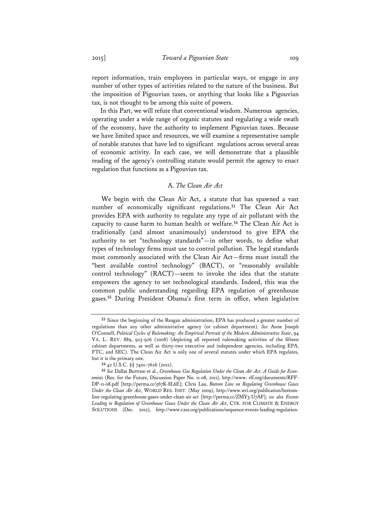report information, train employees in particular ways, or engage in any number of other types of activities related to the nature of the business. But the imposition of Pigouvian taxes, or anything that looks like a Pigouvian tax, is not thought to be among this suite of powers.

 In this Part, we will refute that conventional wisdom. Numerous agencies, operating under a wide range of organic statutes and regulating a wide swath of the economy, have the authority to implement Pigouvian taxes. Because we have limited space and resources, we will examine a representative sample of notable statutes that have led to significant regulations across several areas of economic activity. In each case, we will demonstrate that a plausible reading of the agency's controlling statute would permit the agency to enact regulation that functions as a Pigouvian tax.

## A. *The Clean Air Act*

We begin with the Clean Air Act, a statute that has spawned a vast number of economically significant regulations.**<sup>53</sup>** The Clean Air Act provides EPA with authority to regulate any type of air pollutant with the capacity to cause harm to human health or welfare.**<sup>54</sup>** The Clean Air Act is traditionally (and almost unanimously) understood to give EPA the authority to set "technology standards"—in other words, to define what types of technology firms must use to control pollution. The legal standards most commonly associated with the Clean Air Act—firms must install the "best available control technology" (BACT), or "reasonably available control technology" (RACT)—seem to invoke the idea that the statute empowers the agency to set technological standards. Indeed, this was the common public understanding regarding EPA regulation of greenhouse gases.**<sup>55</sup>** During President Obama's first term in office, when legislative

**<sup>53</sup>** Since the beginning of the Reagan administration, EPA has produced a greater number of regulations than any other administrative agency (or cabinet department). *See* Anne Joseph O'Connell, *Political Cycles of Rulemaking: An Empirical Portrait of the Modern Administrative State*, 94 VA. L. REV. 889, 925-926 (2008) (depicting all reported rulemaking activities of the fifteen cabinet departments, as well as thirty-two executive and independent agencies, including EPA, FTC, and SEC). The Clean Air Act is only one of several statutes under which EPA regulates, but it is the primary one.

**<sup>54</sup>** 42 U.S.C. §§ 7401–7626 (2012).

**<sup>55</sup>** *See* Dallas Burtraw et al., *Greenhouse Gas Regulation Under the Clean Air Act: A Guide for Economists* (Res. for the Future, Discussion Paper No. 11-08, 2011), http://www. rff.org/documents/RFF-DP-11-08.pdf [http://perma.cc/567K-8L6E]; Chris Lau, *Bottom Line on Regulating Greenhouse Gases Under the Clean Air Act*, WORLD RES. INST. (May 2009), http://www.wri.org/publication/bottomline-regulating-greenhouse-gases-under-clean-air-act [http://perma.cc/ZMY3-U7AF]; *see also Events Leading to Regulation of Greenhouse Gases Under the Clean Air Act*, CTR. FOR CLIMATE & ENERGY SOLUTIONS (Dec. 2012), http://www.c2es.org/publications/sequence-events-leading-regulation-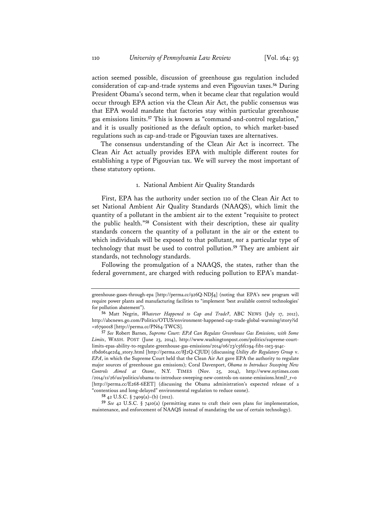action seemed possible, discussion of greenhouse gas regulation included consideration of cap-and-trade systems and even Pigouvian taxes.**<sup>56</sup>** During President Obama's second term, when it became clear that regulation would occur through EPA action via the Clean Air Act, the public consensus was that EPA would mandate that factories stay within particular greenhouse gas emissions limits.**<sup>57</sup>** This is known as "command-and-control regulation," and it is usually positioned as the default option, to which market-based regulations such as cap-and-trade or Pigouvian taxes are alternatives.

 The consensus understanding of the Clean Air Act is incorrect. The Clean Air Act actually provides EPA with multiple different routes for establishing a type of Pigouvian tax. We will survey the most important of these statutory options.

#### 1. National Ambient Air Quality Standards

First, EPA has the authority under section 110 of the Clean Air Act to set National Ambient Air Quality Standards (NAAQS), which limit the quantity of a pollutant in the ambient air to the extent "requisite to protect the public health."**<sup>58</sup>** Consistent with their description, these air quality standards concern the quantity of a pollutant in the air or the extent to which individuals will be exposed to that pollutant, *not* a particular type of technology that must be used to control pollution.**<sup>59</sup>** They are ambient air standards, not technology standards.

Following the promulgation of a NAAQS, the states, rather than the federal government, are charged with reducing pollution to EPA's mandat-

greenhouse-gases-through-epa [http://perma.cc/926Q-NDJ4] (noting that EPA's new program will require power plants and manufacturing facilities to "implement 'best available control technologies' for pollution abatement").

**<sup>56</sup>** Matt Negrin, *Whatever Happened to Cap and Trade?*, ABC NEWS (July 17, 2012), http://abcnews.go.com/Politics/OTUS/environment-happened-cap-trade-global-warming/story?id =16790018 [http://perma.cc/PN64-TWCS].

**<sup>57</sup>** *See* Robert Barnes, *Supreme Court: EPA Can Regulate Greenhouse Gas Emissions, with Some Limits*, WASH. POST (June 23, 2014), http://www.washingtonpost.com/politics/supreme-courtlimits-epas-ability-to-regulate-greenhouse-gas-emissions/2014/06/23/c56fc194-f1b1-11e3-914c-

<sup>1</sup>fbd0614e2d4\_story.html [http://perma.cc/8J2Q-CJUD] (discussing *Utility Air Regulatory Group* v. *EPA*, in which the Supreme Court held that the Clean Air Act gave EPA the authority to regulate major sources of greenhouse gas emissions); Coral Davenport, *Obama to Introduce Sweeping New Controls Aimed at Ozone*, N.Y. TIMES (Nov. 25, 2014), http://www.nytimes.com /2014/11/26/us/politics/obama-to-introduce-sweeping-new-controls-on-ozone-emissions.html?\_r=0 [http://perma.cc/E268-6EET] (discussing the Obama administration's expected release of a "contentious and long-delayed" environmental regulation to reduce ozone).

**<sup>58</sup>** 42 U.S.C. § 7409(a)–(b) (2012).

**<sup>59</sup>** *See* 42 U.S.C. § 7410(a) (permitting states to craft their own plans for implementation, maintenance, and enforcement of NAAQS instead of mandating the use of certain technology).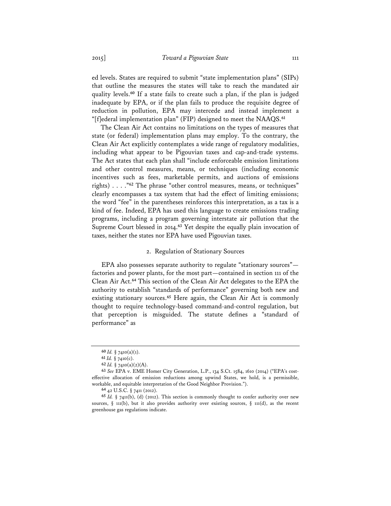ed levels. States are required to submit "state implementation plans" (SIPs) that outline the measures the states will take to reach the mandated air quality levels.**<sup>60</sup>** If a state fails to create such a plan, if the plan is judged inadequate by EPA, or if the plan fails to produce the requisite degree of reduction in pollution, EPA may intercede and instead implement a "[f]ederal implementation plan" (FIP) designed to meet the NAAQS.**<sup>61</sup>**

 The Clean Air Act contains no limitations on the types of measures that state (or federal) implementation plans may employ. To the contrary, the Clean Air Act explicitly contemplates a wide range of regulatory modalities, including what appear to be Pigouvian taxes and cap-and-trade systems. The Act states that each plan shall "include enforceable emission limitations and other control measures, means, or techniques (including economic incentives such as fees, marketable permits, and auctions of emissions rights) . . . ."**<sup>62</sup>** The phrase "other control measures, means, or techniques" clearly encompasses a tax system that had the effect of limiting emissions; the word "fee" in the parentheses reinforces this interpretation, as a tax is a kind of fee. Indeed, EPA has used this language to create emissions trading programs, including a program governing interstate air pollution that the Supreme Court blessed in 2014.**<sup>63</sup>** Yet despite the equally plain invocation of taxes, neither the states nor EPA have used Pigouvian taxes.

#### 2. Regulation of Stationary Sources

EPA also possesses separate authority to regulate "stationary sources" factories and power plants, for the most part—contained in section 111 of the Clean Air Act.**<sup>64</sup>** This section of the Clean Air Act delegates to the EPA the authority to establish "standards of performance" governing both new and existing stationary sources.**<sup>65</sup>** Here again, the Clean Air Act is commonly thought to require technology-based command-and-control regulation, but that perception is misguided. The statute defines a "standard of performance" as

**<sup>60</sup>** *Id.* § 7410(a)(1).

**<sup>61</sup>** *Id.* § 7410(c).

**<sup>62</sup>** *Id.* § 7410(a)(2)(A).

**<sup>63</sup>** *See* EPA v. EME Homer City Generation, L.P., 134 S.Ct. 1584, 1610 (2014) ("EPA's costeffective allocation of emission reductions among upwind States, we hold, is a permissible, workable, and equitable interpretation of the Good Neighbor Provision.").

**<sup>64</sup>** 42 U.S.C. § 7411 (2012).

**<sup>65</sup>** *Id.* § 7411(b), (d) (2012). This section is commonly thought to confer authority over new sources, § 111(b), but it also provides authority over existing sources, § 111(d), as the recent greenhouse gas regulations indicate.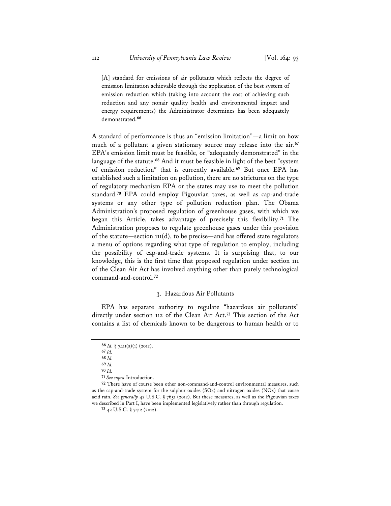[A] standard for emissions of air pollutants which reflects the degree of emission limitation achievable through the application of the best system of emission reduction which (taking into account the cost of achieving such reduction and any nonair quality health and environmental impact and energy requirements) the Administrator determines has been adequately demonstrated.**<sup>66</sup>**

A standard of performance is thus an "emission limitation"—a limit on how much of a pollutant a given stationary source may release into the air.**<sup>67</sup>** EPA's emission limit must be feasible, or "adequately demonstrated" in the language of the statute.**<sup>68</sup>** And it must be feasible in light of the best "system of emission reduction" that is currently available.**<sup>69</sup>** But once EPA has established such a limitation on pollution, there are no strictures on the type of regulatory mechanism EPA or the states may use to meet the pollution standard.**<sup>70</sup>** EPA could employ Pigouvian taxes, as well as cap-and-trade systems or any other type of pollution reduction plan. The Obama Administration's proposed regulation of greenhouse gases, with which we began this Article, takes advantage of precisely this flexibility.**<sup>71</sup>** The Administration proposes to regulate greenhouse gases under this provision of the statute—section 111(d), to be precise—and has offered state regulators a menu of options regarding what type of regulation to employ, including the possibility of cap-and-trade systems. It is surprising that, to our knowledge, this is the first time that proposed regulation under section 111 of the Clean Air Act has involved anything other than purely technological command-and-control.**<sup>72</sup>**

## 3. Hazardous Air Pollutants

EPA has separate authority to regulate "hazardous air pollutants" directly under section 112 of the Clean Air Act.**<sup>73</sup>** This section of the Act contains a list of chemicals known to be dangerous to human health or to

**<sup>73</sup>** 42 U.S.C. § 7412 (2012).

**<sup>66</sup>** *Id.* § 7411(a)(1) (2012).

**<sup>67</sup>** *Id.* 

**<sup>68</sup>** *Id.* 

**<sup>69</sup>** *Id.* 

**<sup>70</sup>** *Id.* **<sup>71</sup>** *See supra* Introduction.

**<sup>72</sup>** There have of course been other non-command-and-control environmental measures, such as the cap-and-trade system for the sulphur oxides (SOx) and nitrogen oxides (NOx) that cause acid rain. *See generally* 42 U.S.C. § 7651 (2012). But these measures, as well as the Pigouvian taxes we described in Part I, have been implemented legislatively rather than through regulation.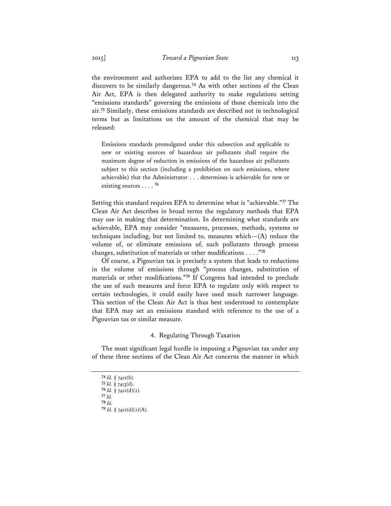the environment and authorizes EPA to add to the list any chemical it discovers to be similarly dangerous.**<sup>74</sup>** As with other sections of the Clean Air Act, EPA is then delegated authority to make regulations setting "emissions standards" governing the emissions of those chemicals into the air.**<sup>75</sup>** Similarly, these emissions standards are described not in technological terms but as limitations on the amount of the chemical that may be released:

Emissions standards promulgated under this subsection and applicable to new or existing sources of hazardous air pollutants shall require the maximum degree of reduction in emissions of the hazardous air pollutants subject to this section (including a prohibition on such emissions, where achievable) that the Administrator . . . determines is achievable for new or existing sources . . . . **<sup>76</sup>**

Setting this standard requires EPA to determine what is "achievable."**<sup>77</sup>** The Clean Air Act describes in broad terms the regulatory methods that EPA may use in making that determination. In determining what standards are achievable, EPA may consider "measures, processes, methods, systems or techniques including, but not limited to, measures which $-(A)$  reduce the volume of, or eliminate emissions of, such pollutants through process changes, substitution of materials or other modifications . . . ."**<sup>78</sup>**

 Of course, a Pigouvian tax is precisely a system that leads to reductions in the volume of emissions through "process changes, substitution of materials or other modifications."**<sup>79</sup>** If Congress had intended to preclude the use of such measures and force EPA to regulate only with respect to certain technologies, it could easily have used much narrower language. This section of the Clean Air Act is thus best understood to contemplate that EPA may set an emissions standard with reference to the use of a Pigouvian tax or similar measure.

#### 4. Regulating Through Taxation

The most significant legal hurdle in imposing a Pigouvian tax under any of these three sections of the Clean Air Act concerns the manner in which

**<sup>74</sup>** *Id.* § 7412(b).

**<sup>75</sup>** *Id.* § 7413(d).

**<sup>76</sup>** *Id.* § 7412(d)(2).

**<sup>77</sup>** *Id.*  **<sup>78</sup>** *Id.*

**<sup>79</sup>** *Id.* § 7412(d)(2)(A).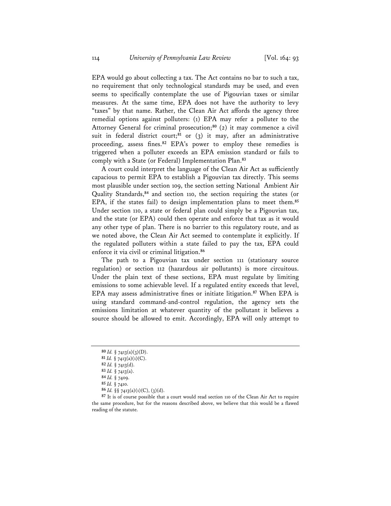EPA would go about collecting a tax. The Act contains no bar to such a tax, no requirement that only technological standards may be used, and even seems to specifically contemplate the use of Pigouvian taxes or similar measures. At the same time, EPA does not have the authority to levy "taxes" by that name. Rather, the Clean Air Act affords the agency three remedial options against polluters: (1) EPA may refer a polluter to the Attorney General for criminal prosecution;**<sup>80</sup>** (2) it may commence a civil suit in federal district court;**<sup>81</sup>** or (3) it may, after an administrative proceeding, assess fines.**<sup>82</sup>** EPA's power to employ these remedies is triggered when a polluter exceeds an EPA emission standard or fails to comply with a State (or Federal) Implementation Plan.**<sup>83</sup>**

A court could interpret the language of the Clean Air Act as sufficiently capacious to permit EPA to establish a Pigouvian tax directly. This seems most plausible under section 109, the section setting National Ambient Air Quality Standards,**<sup>84</sup>** and section 110, the section requiring the states (or EPA, if the states fail) to design implementation plans to meet them.**<sup>85</sup>** Under section 110, a state or federal plan could simply be a Pigouvian tax, and the state (or EPA) could then operate and enforce that tax as it would any other type of plan. There is no barrier to this regulatory route, and as we noted above, the Clean Air Act seemed to contemplate it explicitly. If the regulated polluters within a state failed to pay the tax, EPA could enforce it via civil or criminal litigation.**<sup>86</sup>**

The path to a Pigouvian tax under section 111 (stationary source regulation) or section 112 (hazardous air pollutants) is more circuitous. Under the plain text of these sections, EPA must regulate by limiting emissions to some achievable level. If a regulated entity exceeds that level, EPA may assess administrative fines or initiate litigation.**<sup>87</sup>** When EPA is using standard command-and-control regulation, the agency sets the emissions limitation at whatever quantity of the pollutant it believes a source should be allowed to emit. Accordingly, EPA will only attempt to

**<sup>80</sup>** *Id.* § 7413(a)(3)(D).

**<sup>81</sup>** *Id.* § 7413(a)(1)(C).

**<sup>82</sup>** *Id.* § 7413(d).

**<sup>83</sup>** *Id.* § 7413(a).

**<sup>84</sup>** *Id.* § 7409.

**<sup>85</sup>** *Id.* § 7410.

**<sup>86</sup>** *Id.* §§ 7413(a)(1)(C), (3)(d).

**<sup>87</sup>** It is of course possible that a court would read section 110 of the Clean Air Act to require the same procedure, but for the reasons described above, we believe that this would be a flawed reading of the statute.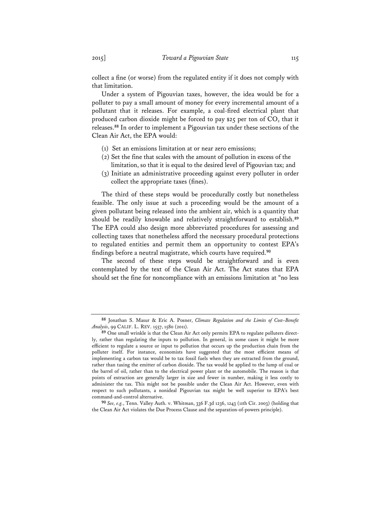collect a fine (or worse) from the regulated entity if it does not comply with that limitation.

Under a system of Pigouvian taxes, however, the idea would be for a polluter to pay a small amount of money for every incremental amount of a pollutant that it releases. For example, a coal-fired electrical plant that produced carbon dioxide might be forced to pay \$25 per ton of  $CO<sub>2</sub>$  that it releases.**<sup>88</sup>** In order to implement a Pigouvian tax under these sections of the Clean Air Act, the EPA would:

- (1) Set an emissions limitation at or near zero emissions;
- (2) Set the fine that scales with the amount of pollution in excess of the limitation, so that it is equal to the desired level of Pigouvian tax; and
- (3) Initiate an administrative proceeding against every polluter in order collect the appropriate taxes (fines).

The third of these steps would be procedurally costly but nonetheless feasible. The only issue at such a proceeding would be the amount of a given pollutant being released into the ambient air, which is a quantity that should be readily knowable and relatively straightforward to establish.**<sup>89</sup>** The EPA could also design more abbreviated procedures for assessing and collecting taxes that nonetheless afford the necessary procedural protections to regulated entities and permit them an opportunity to contest EPA's findings before a neutral magistrate, which courts have required.**<sup>90</sup>**

The second of these steps would be straightforward and is even contemplated by the text of the Clean Air Act. The Act states that EPA should set the fine for noncompliance with an emissions limitation at "no less

**<sup>88</sup>** Jonathan S. Masur & Eric A. Posner, *Climate Regulation and the Limits of Cost–Benefit Analysis*, 99 CALIF. L. REV. 1557, 1580 (2011).

**<sup>89</sup>** One small wrinkle is that the Clean Air Act only permits EPA to regulate polluters directly, rather than regulating the inputs to pollution. In general, in some cases it might be more efficient to regulate a source or input to pollution that occurs up the production chain from the polluter itself. For instance, economists have suggested that the most efficient means of implementing a carbon tax would be to tax fossil fuels when they are extracted from the ground, rather than taxing the emitter of carbon dioxide. The tax would be applied to the lump of coal or the barrel of oil, rather than to the electrical power plant or the automobile. The reason is that points of extraction are generally larger in size and fewer in number, making it less costly to administer the tax. This might not be possible under the Clean Air Act. However, even with respect to such pollutants, a nonideal Pigouvian tax might be well superior to EPA's best command-and-control alternative.

**<sup>90</sup>** *See, e.g.*, Tenn. Valley Auth. v. Whitman, 336 F.3d 1236, 1243 (11th Cir. 2003) (holding that the Clean Air Act violates the Due Process Clause and the separation-of-powers principle).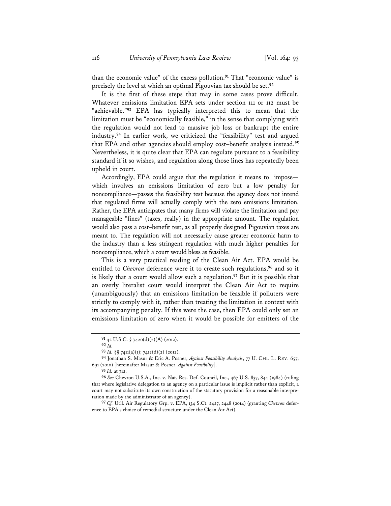than the economic value" of the excess pollution.**<sup>91</sup>** That "economic value" is precisely the level at which an optimal Pigouvian tax should be set.**<sup>92</sup>**

It is the first of these steps that may in some cases prove difficult. Whatever emissions limitation EPA sets under section 111 or 112 must be "achievable."**<sup>93</sup>** EPA has typically interpreted this to mean that the limitation must be "economically feasible," in the sense that complying with the regulation would not lead to massive job loss or bankrupt the entire industry.**<sup>94</sup>** In earlier work, we criticized the "feasibility" test and argued that EPA and other agencies should employ cost–benefit analysis instead.**<sup>95</sup>** Nevertheless, it is quite clear that EPA can regulate pursuant to a feasibility standard if it so wishes, and regulation along those lines has repeatedly been upheld in court.

Accordingly, EPA could argue that the regulation it means to impose which involves an emissions limitation of zero but a low penalty for noncompliance—passes the feasibility test because the agency does not intend that regulated firms will actually comply with the zero emissions limitation. Rather, the EPA anticipates that many firms will violate the limitation and pay manageable "fines" (taxes, really) in the appropriate amount. The regulation would also pass a cost–benefit test, as all properly designed Pigouvian taxes are meant to. The regulation will not necessarily cause greater economic harm to the industry than a less stringent regulation with much higher penalties for noncompliance, which a court would bless as feasible.

This is a very practical reading of the Clean Air Act. EPA would be entitled to *Chevron* deference were it to create such regulations,**<sup>96</sup>** and so it is likely that a court would allow such a regulation.**<sup>97</sup>** But it is possible that an overly literalist court would interpret the Clean Air Act to require (unambiguously) that an emissions limitation be feasible if polluters were strictly to comply with it, rather than treating the limitation in context with its accompanying penalty. If this were the case, then EPA could only set an emissions limitation of zero when it would be possible for emitters of the

**<sup>97</sup>** *Cf.* Util. Air Regulatory Grp. v. EPA, 134 S.Ct. 2427, 2448 (2014) (granting *Chevron* deference to EPA's choice of remedial structure under the Clean Air Act).

**<sup>91</sup>** 42 U.S.C. § 7420(d)(2)(A) (2012).

**<sup>92</sup>** *Id.* 

**<sup>93</sup>** *Id.* §§ 7411(a)(1); 7412(d)(2) (2012).

**<sup>94</sup>** Jonathan S. Masur & Eric A. Posner, *Against Feasibility Analysis*, 77 U. CHI. L. REV. 657, 691 (2010) [hereinafter Masur & Posner, *Against Feasibility*].

**<sup>95</sup>** *Id.* at 712.

**<sup>96</sup>** *See* Chevron U.S.A., Inc. v. Nat. Res. Def. Council, Inc., 467 U.S. 837, 844 (1984) (ruling that where legislative delegation to an agency on a particular issue is implicit rather than explicit, a court may not substitute its own construction of the statutory provision for a reasonable interpretation made by the administrator of an agency).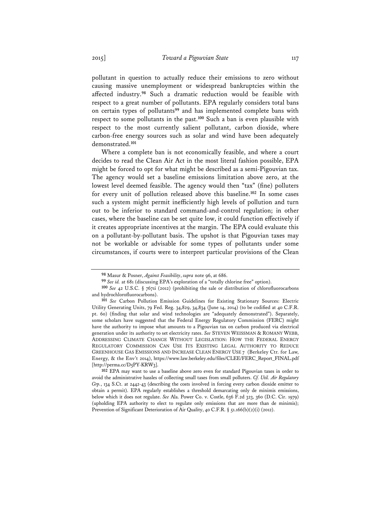pollutant in question to actually reduce their emissions to zero without causing massive unemployment or widespread bankruptcies within the affected industry.**<sup>98</sup>** Such a dramatic reduction would be feasible with respect to a great number of pollutants. EPA regularly considers total bans on certain types of pollutants**<sup>99</sup>** and has implemented complete bans with respect to some pollutants in the past.**<sup>100</sup>** Such a ban is even plausible with respect to the most currently salient pollutant, carbon dioxide, where carbon-free energy sources such as solar and wind have been adequately demonstrated.**<sup>101</sup>**

Where a complete ban is not economically feasible, and where a court decides to read the Clean Air Act in the most literal fashion possible, EPA might be forced to opt for what might be described as a semi-Pigouvian tax. The agency would set a baseline emissions limitation above zero, at the lowest level deemed feasible. The agency would then "tax" (fine) polluters for every unit of pollution released above this baseline.**<sup>102</sup>** In some cases such a system might permit inefficiently high levels of pollution and turn out to be inferior to standard command-and-control regulation; in other cases, where the baseline can be set quite low, it could function effectively if it creates appropriate incentives at the margin. The EPA could evaluate this on a pollutant-by-pollutant basis. The upshot is that Pigouvian taxes may not be workable or advisable for some types of pollutants under some circumstances, if courts were to interpret particular provisions of the Clean

**<sup>98</sup>** Masur & Posner, *Against Feasibility*, *supra* note 96, at 686.

**<sup>99</sup>** *See id.* at 681 (discussing EPA's exploration of a "totally chlorine free" option).

**<sup>100</sup>** *See* 42 U.S.C. § 7671i (2012) (prohibiting the sale or distribution of chlorofluorocarbons and hydrochlorofluorocarbons).

**<sup>101</sup>** *See* Carbon Pollution Emission Guidelines for Existing Stationary Sources: Electric Utility Generating Units, 79 Fed. Reg. 34,829, 34,834 (June 14, 2014) (to be codified at 40 C.F.R. pt. 60) (finding that solar and wind technologies are "adequately demonstrated"). Separately, some scholars have suggested that the Federal Energy Regulatory Commission (FERC) might have the authority to impose what amounts to a Pigouvian tax on carbon produced via electrical generation under its authority to set electricity rates. *See* STEVEN WEISSMAN & ROMANY WEBB, ADDRESSING CLIMATE CHANGE WITHOUT LEGISLATION: HOW THE FEDERAL ENERGY REGULATORY COMMISSION CAN USE ITS EXISTING LEGAL AUTHORITY TO REDUCE GREENHOUSE GAS EMISSIONS AND INCREASE CLEAN ENERGY USE 7 (Berkeley Ctr. for Law, Energy, & the Env't 2014), https://www.law.berkeley.edu/files/CLEE/FERC\_Report\_FINAL.pdf [http://perma.cc/D5PY-KRW3].

**<sup>102</sup>** EPA may want to use a baseline above zero even for standard Pigouvian taxes in order to avoid the administrative hassles of collecting small taxes from small polluters. *Cf. Util. Air Regulatory Grp.*, 134 S.Ct. at 2442-43 (describing the costs involved in forcing every carbon dioxide emitter to obtain a permit). EPA regularly establishes a threshold demarcating only de minimis emissions, below which it does not regulate. *See* Ala. Power Co. v. Costle, 636 F.2d 323, 360 (D.C. Cir. 1979) (upholding EPA authority to elect to regulate only emissions that are more than de minimis); Prevention of Significant Deterioration of Air Quality, 40 C.F.R. § 51.166(b)(2)(i) (2012).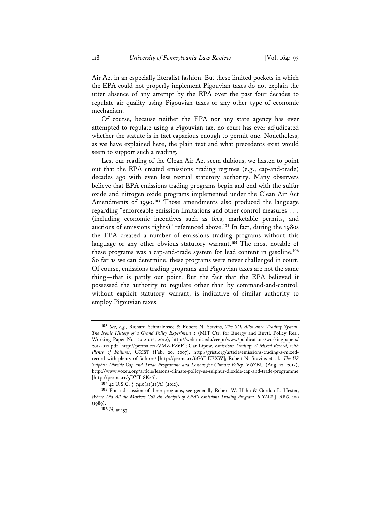Air Act in an especially literalist fashion. But these limited pockets in which the EPA could not properly implement Pigouvian taxes do not explain the utter absence of any attempt by the EPA over the past four decades to regulate air quality using Pigouvian taxes or any other type of economic mechanism.

Of course, because neither the EPA nor any state agency has ever attempted to regulate using a Pigouvian tax, no court has ever adjudicated whether the statute is in fact capacious enough to permit one. Nonetheless, as we have explained here, the plain text and what precedents exist would seem to support such a reading.

Lest our reading of the Clean Air Act seem dubious, we hasten to point out that the EPA created emissions trading regimes (e.g., cap-and-trade) decades ago with even less textual statutory authority. Many observers believe that EPA emissions trading programs begin and end with the sulfur oxide and nitrogen oxide programs implemented under the Clean Air Act Amendments of 1990.**<sup>103</sup>** Those amendments also produced the language regarding "enforceable emission limitations and other control measures . . . (including economic incentives such as fees, marketable permits, and auctions of emissions rights)" referenced above.**<sup>104</sup>** In fact, during the 1980s the EPA created a number of emissions trading programs without this language or any other obvious statutory warrant.**<sup>105</sup>** The most notable of these programs was a cap-and-trade system for lead content in gasoline.**<sup>106</sup>** So far as we can determine, these programs were never challenged in court. Of course, emissions trading programs and Pigouvian taxes are not the same thing—that is partly our point. But the fact that the EPA believed it possessed the authority to regulate other than by command-and-control, without explicit statutory warrant, is indicative of similar authority to employ Pigouvian taxes.

<sup>103</sup> See, e.g., Richard Schmalensee & Robert N. Stavins, *The SO<sub>2</sub> Allowance Trading System: The Ironic History of a Grand Policy Experiment* 2 (MIT Ctr. for Energy and Envtl. Policy Res., Working Paper No. 2012-012, 2012), http://web.mit.edu/ceepr/www/publications/workingpapers/ 2012-012.pdf [http://perma.cc/2VMZ-PZ6F]; Gar Lipow, *Emissions Trading: A Mixed Record, with Plenty of Failures*, GRIST (Feb. 20, 2007), http://grist.org/article/emissions-trading-a-mixedrecord-with-plenty-of-failures/ [http://perma.cc/6GYJ-EEXW]; Robert N. Stavins et. al., *The US Sulphur Dioxide Cap and Trade Programme and Lessons for Climate Policy*, VOXEU (Aug. 12, 2012), http://www.voxeu.org/article/lessons-climate-policy-us-sulphur-dioxide-cap-and-trade-programme [http://perma.cc/5DYT-8K26].

**<sup>104</sup>** 42 U.S.C. § 7410(a)(2)(A) (2012).

**<sup>105</sup>** For a discussion of these programs, see generally Robert W. Hahn & Gordon L. Hester, *Where Did All the Markets Go? An Analysis of EPA's Emissions Trading Program*, 6 YALE J. REG. 109 (1989).

**<sup>106</sup>** *Id.* at 153.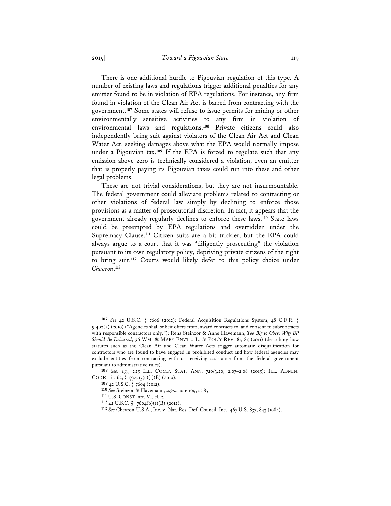There is one additional hurdle to Pigouvian regulation of this type. A number of existing laws and regulations trigger additional penalties for any emitter found to be in violation of EPA regulations. For instance, any firm found in violation of the Clean Air Act is barred from contracting with the government.**<sup>107</sup>** Some states will refuse to issue permits for mining or other environmentally sensitive activities to any firm in violation of environmental laws and regulations.**<sup>108</sup>** Private citizens could also independently bring suit against violators of the Clean Air Act and Clean Water Act, seeking damages above what the EPA would normally impose under a Pigouvian tax.**<sup>109</sup>** If the EPA is forced to regulate such that any emission above zero is technically considered a violation, even an emitter that is properly paying its Pigouvian taxes could run into these and other legal problems.

 These are not trivial considerations, but they are not insurmountable. The federal government could alleviate problems related to contracting or other violations of federal law simply by declining to enforce those provisions as a matter of prosecutorial discretion. In fact, it appears that the government already regularly declines to enforce these laws.**<sup>110</sup>** State laws could be preempted by EPA regulations and overridden under the Supremacy Clause.**<sup>111</sup>** Citizen suits are a bit trickier, but the EPA could always argue to a court that it was "diligently prosecuting" the violation pursuant to its own regulatory policy, depriving private citizens of the right to bring suit.**<sup>112</sup>** Courts would likely defer to this policy choice under *Chevron*. **113**

**<sup>107</sup>** *See* 42 U.S.C. § 7606 (2012); Federal Acquisition Regulations System, 48 C.F.R. § 9.402(a) (2010) ("Agencies shall solicit offers from, award contracts to, and consent to subcontracts with responsible contractors only."); Rena Steinzor & Anne Havemann, *Too Big to Obey: Why BP Should Be Debarred*, 36 WM. & MARY ENVTL. L. & POL'Y REV. 81, 85 (2011) (describing how statutes such as the Clean Air and Clean Water Acts trigger automatic disqualification for contractors who are found to have engaged in prohibited conduct and how federal agencies may exclude entities from contracting with or receiving assistance from the federal government pursuant to administrative rules).

**<sup>108</sup>** *See, e.g.*, 225 ILL. COMP. STAT. ANN. 720/3.20, 2.07–2.08 (2015); ILL. ADMIN. CODE tit.  $62, \S 1774.15(c)(1)(B) (2010)$ .

**<sup>109</sup>** 42 U.S.C. § 7604 (2012).

**<sup>110</sup>** *See* Steinzor & Havemann, *supra* note 109, at 85. **111** U.S. CONST. art. VI, cl. 2.

**<sup>112</sup>** 42 U.S.C. § 7604(b)(1)(B) (2012).

**<sup>113</sup>** *See* Chevron U.S.A., Inc. v. Nat. Res. Def. Council, Inc., 467 U.S. 837, 843 (1984).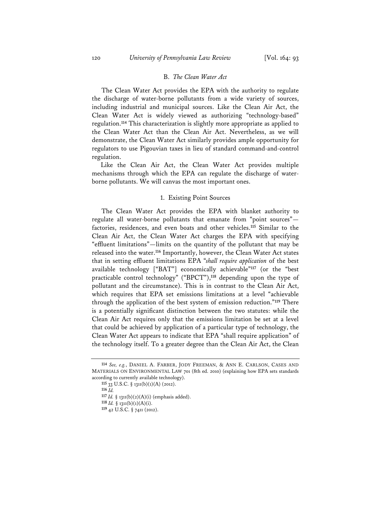#### B. *The Clean Water Act*

The Clean Water Act provides the EPA with the authority to regulate the discharge of water-borne pollutants from a wide variety of sources, including industrial and municipal sources. Like the Clean Air Act, the Clean Water Act is widely viewed as authorizing "technology-based" regulation.**<sup>114</sup>** This characterization is slightly more appropriate as applied to the Clean Water Act than the Clean Air Act. Nevertheless, as we will demonstrate, the Clean Water Act similarly provides ample opportunity for regulators to use Pigouvian taxes in lieu of standard command-and-control regulation.

 Like the Clean Air Act, the Clean Water Act provides multiple mechanisms through which the EPA can regulate the discharge of waterborne pollutants. We will canvas the most important ones.

#### 1. Existing Point Sources

The Clean Water Act provides the EPA with blanket authority to regulate all water-borne pollutants that emanate from "point sources" factories, residences, and even boats and other vehicles.**<sup>115</sup>** Similar to the Clean Air Act, the Clean Water Act charges the EPA with specifying "effluent limitations"—limits on the quantity of the pollutant that may be released into the water.**<sup>116</sup>** Importantly, however, the Clean Water Act states that in setting effluent limitations EPA "*shall require application* of the best available technology ["BAT"] economically achievable"**<sup>117</sup>** (or the "best practicable control technology" ("BPCT"),**<sup>118</sup>** depending upon the type of pollutant and the circumstance). This is in contrast to the Clean Air Act, which requires that EPA set emissions limitations at a level "achievable through the application of the best system of emission reduction."**<sup>119</sup>** There is a potentially significant distinction between the two statutes: while the Clean Air Act requires only that the emissions limitation be set at a level that could be achieved by application of a particular type of technology, the Clean Water Act appears to indicate that EPA "shall require application" of the technology itself. To a greater degree than the Clean Air Act, the Clean

**<sup>114</sup>** *See, e.g.*, DANIEL A. FARBER, JODY FREEMAN, & ANN E. CARLSON, CASES AND MATERIALS ON ENVIRONMENTAL LAW 701 (8th ed. 2010) (explaining how EPA sets standards according to currently available technology).

**<sup>115</sup>** 33 U.S.C. § 1311(b)(1)(A) (2012).

**<sup>116</sup>** *Id.* **<sup>117</sup>** *Id.* § 1311(b)(2)(A)(i) (emphasis added).

**<sup>118</sup>** *Id.* § 1311(b)(1)(A)(i).

**<sup>119</sup>** 42 U.S.C. § 7411 (2012).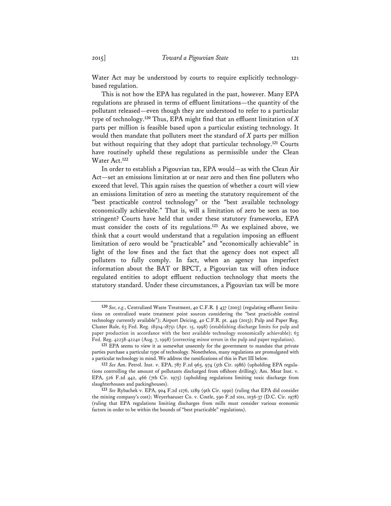Water Act may be understood by courts to require explicitly technologybased regulation.

This is not how the EPA has regulated in the past, however. Many EPA regulations are phrased in terms of effluent limitations—the quantity of the pollutant released—even though they are understood to refer to a particular type of technology.**<sup>120</sup>** Thus, EPA might find that an effluent limitation of *X* parts per million is feasible based upon a particular existing technology. It would then mandate that polluters meet the standard of *X* parts per million but without requiring that they adopt that particular technology.**<sup>121</sup>** Courts have routinely upheld these regulations as permissible under the Clean Water Act.**<sup>122</sup>**

In order to establish a Pigouvian tax, EPA would—as with the Clean Air Act—set an emissions limitation at or near zero and then fine polluters who exceed that level. This again raises the question of whether a court will view an emissions limitation of zero as meeting the statutory requirement of the "best practicable control technology" or the "best available technology economically achievable." That is, will a limitation of zero be seen as too stringent? Courts have held that under these statutory frameworks, EPA must consider the costs of its regulations.**<sup>123</sup>** As we explained above, we think that a court would understand that a regulation imposing an effluent limitation of zero would be "practicable" and "economically achievable" in light of the low fines and the fact that the agency does not expect all polluters to fully comply. In fact, when an agency has imperfect information about the BAT or BPCT, a Pigouvian tax will often induce regulated entities to adopt effluent reduction technology that meets the statutory standard. Under these circumstances, a Pigouvian tax will be more

**<sup>120</sup>** *See, e.g.*, Centralized Waste Treatment, 40 C.F.R. § 437 (2003) (regulating effluent limitations on centralized waste treatment point sources considering the "best practicable control technology currently available"); Airport Deicing, 40 C.F.R. pt. 449 (2013); Pulp and Paper Reg. Cluster Rule, 63 Fed. Reg. 18504-18751 (Apr. 15, 1998) (establishing discharge limits for pulp and paper production in accordance with the best available technology economically achievable); 63 Fed. Reg. 42238-42240 (Aug. 7, 1998) (correcting minor errors in the pulp and paper regulation). **121** EPA seems to view it as somewhat unseemly for the government to mandate that private

parties purchase a particular type of technology. Nonetheless, many regulations are promulgated with a particular technology in mind. We address the ramifications of this in Part III below.

**<sup>122</sup>** *See* Am. Petrol. Inst. v. EPA, 787 F.2d 965, 974 (5th Cir. 1986) (upholding EPA regulations controlling the amount of pollutants discharged from offshore drilling); Am. Meat Inst. v. EPA, 526 F.2d 442, 466 (7th Cir. 1975) (upholding regulations limiting toxic discharge from slaughterhouses and packinghouses).

**<sup>123</sup>** *See* Rybachek v. EPA, 904 F.2d 1276, 1289 (9th Cir. 1990) (ruling that EPA did consider the mining company's cost); Weyerhaeuser Co. v. Costle, 590 F.2d 1011, 1036-37 (D.C. Cir. 1978) (ruling that EPA regulations limiting discharges from mills must consider various economic factors in order to be within the bounds of "best practicable" regulations).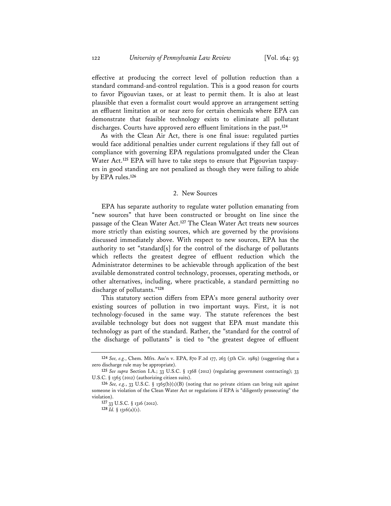effective at producing the correct level of pollution reduction than a standard command-and-control regulation. This is a good reason for courts to favor Pigouvian taxes, or at least to permit them. It is also at least plausible that even a formalist court would approve an arrangement setting an effluent limitation at or near zero for certain chemicals where EPA can demonstrate that feasible technology exists to eliminate all pollutant discharges. Courts have approved zero effluent limitations in the past.**<sup>124</sup>**

 As with the Clean Air Act, there is one final issue: regulated parties would face additional penalties under current regulations if they fall out of compliance with governing EPA regulations promulgated under the Clean Water Act.**<sup>125</sup>** EPA will have to take steps to ensure that Pigouvian taxpayers in good standing are not penalized as though they were failing to abide by EPA rules.**<sup>126</sup>**

## 2. New Sources

 EPA has separate authority to regulate water pollution emanating from "new sources" that have been constructed or brought on line since the passage of the Clean Water Act.**<sup>127</sup>** The Clean Water Act treats new sources more strictly than existing sources, which are governed by the provisions discussed immediately above. With respect to new sources, EPA has the authority to set "standard[s] for the control of the discharge of pollutants which reflects the greatest degree of effluent reduction which the Administrator determines to be achievable through application of the best available demonstrated control technology, processes, operating methods, or other alternatives, including, where practicable, a standard permitting no discharge of pollutants."**<sup>128</sup>**

This statutory section differs from EPA's more general authority over existing sources of pollution in two important ways. First, it is not technology-focused in the same way. The statute references the best available technology but does not suggest that EPA must mandate this technology as part of the standard. Rather, the "standard for the control of the discharge of pollutants" is tied to "the greatest degree of effluent

**<sup>128</sup>** *Id.* § 1316(a)(1).

**<sup>124</sup>** *See, e.g.*, Chem. Mfrs. Ass'n v. EPA, 870 F.2d 177, 263 (5th Cir. 1989) (suggesting that a zero discharge rule may be appropriate).

**<sup>125</sup>** *See supra* Section I.A.; 33 U.S.C. § 1368 (2012) (regulating government contracting); 33 U.S.C.  $\S$  1365 (2012) (authorizing citizen suits).

**<sup>126</sup>** *See, e.g.*, 33 U.S.C. § 1365(b)(1)(B) (noting that no private citizen can bring suit against someone in violation of the Clean Water Act or regulations if EPA is "diligently prosecuting" the violation).

**<sup>127</sup>** 33 U.S.C. § 1316 (2012).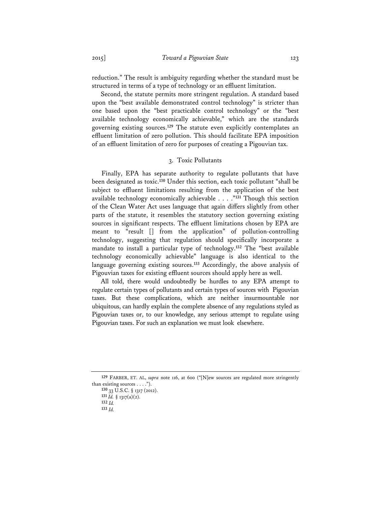reduction." The result is ambiguity regarding whether the standard must be structured in terms of a type of technology or an effluent limitation.

 Second, the statute permits more stringent regulation. A standard based upon the "best available demonstrated control technology" is stricter than one based upon the "best practicable control technology" or the "best available technology economically achievable," which are the standards governing existing sources.**<sup>129</sup>** The statute even explicitly contemplates an effluent limitation of zero pollution. This should facilitate EPA imposition of an effluent limitation of zero for purposes of creating a Pigouvian tax.

#### 3. Toxic Pollutants

Finally, EPA has separate authority to regulate pollutants that have been designated as toxic.**<sup>130</sup>** Under this section, each toxic pollutant "shall be subject to effluent limitations resulting from the application of the best available technology economically achievable . . . ."**<sup>131</sup>** Though this section of the Clean Water Act uses language that again differs slightly from other parts of the statute, it resembles the statutory section governing existing sources in significant respects. The effluent limitations chosen by EPA are meant to "result [] from the application" of pollution-controlling technology, suggesting that regulation should specifically incorporate a mandate to install a particular type of technology.**<sup>132</sup>** The "best available technology economically achievable" language is also identical to the language governing existing sources.**<sup>133</sup>** Accordingly, the above analysis of Pigouvian taxes for existing effluent sources should apply here as well.

 All told, there would undoubtedly be hurdles to any EPA attempt to regulate certain types of pollutants and certain types of sources with Pigouvian taxes. But these complications, which are neither insurmountable nor ubiquitous, can hardly explain the complete absence of any regulations styled as Pigouvian taxes or, to our knowledge, any serious attempt to regulate using Pigouvian taxes. For such an explanation we must look elsewhere.

**<sup>129</sup>** FARBER, ET. AL, *supra* note 116, at 600 ("[N]ew sources are regulated more stringently than existing sources . . . .").

**<sup>130</sup>** 33 U.S.C. § 1317 (2012).

**<sup>131</sup>** *Id.* § 1317(a)(2).

**<sup>132</sup>** *Id.* 

**<sup>133</sup>** *Id.*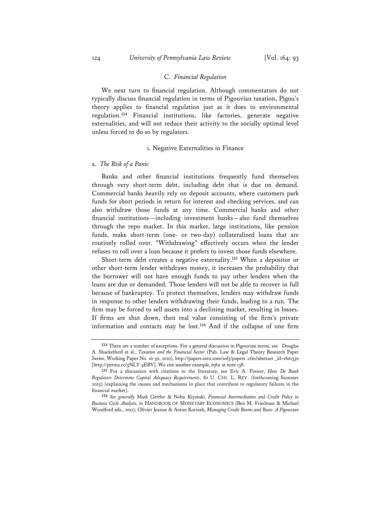#### C. *Financial Regulation*

 We next turn to financial regulation. Although commentators do not typically discuss financial regulation in terms of Pigouvian taxation, Pigou's theory applies to financial regulation just as it does to environmental regulation.**<sup>134</sup>** Financial institutions, like factories, generate negative externalities, and will not reduce their activity to the socially optimal level unless forced to do so by regulators.

#### 1. Negative Externalities in Finance

#### a. *The Risk of a Panic*

Banks and other financial institutions frequently fund themselves through very short-term debt, including debt that is due on demand. Commercial banks heavily rely on deposit accounts, where customers park funds for short periods in return for interest and checking services, and can also withdraw those funds at any time. Commercial banks and other financial institutions—including investment banks—also fund themselves through the repo market. In this market, large institutions, like pension funds, make short-term (one- or two-day) collateralized loans that are routinely rolled over. "Withdrawing" effectively occurs when the lender refuses to roll over a loan because it prefers to invest those funds elsewhere.

Short-term debt creates a negative externality.**<sup>135</sup>** When a depositor or other short-term lender withdraws money, it increases the probability that the borrower will not have enough funds to pay other lenders when the loans are due or demanded. Those lenders will not be able to recover in full because of bankruptcy. To protect themselves, lenders may withdraw funds in response to other lenders withdrawing their funds, leading to a run. The firm may be forced to sell assets into a declining market, resulting in losses. If firms are shut down, then real value consisting of the firm's private information and contacts may be lost.**<sup>136</sup>** And if the collapse of one firm

**<sup>134</sup>** There are a number of exceptions. For a general discussion in Pigouvian terms, see Douglas A. Shackelford et al., *Taxation and the Financial Sector* (Pub. Law & Legal Theory Research Paper Series, Working Paper No. 10-30, 2010), http://papers.ssrn.com/sol3/papers .cfm?abstract \_id=1601330 [http://perma.cc/3NLY-4EBV]. We cite another example, *infra* at note 138.

**<sup>135</sup>** For a discussion with citations to the literature, see Eric A. Posner, *How Do Bank Regulators Determine Capital Adequacy Requirements*, 82 U. CHI. L. REV. (forthcoming Summer 2015) (explaining the causes and mechanisms in place that contribute to regulatory failures in the financial market).

**<sup>136</sup>** *See generally* Mark Gertler & Nobu Kiyotaki, *Financial Intermediation and Credit Policy in Business Cycle Analysis*, *in* HANDBOOK OF MONETARY ECONOMICS (Ben M. Friedman & Michael Woodford eds., 2011); Olivier Jeanne & Anton Korinek, *Managing Credit Booms and Busts: A Pigouvian*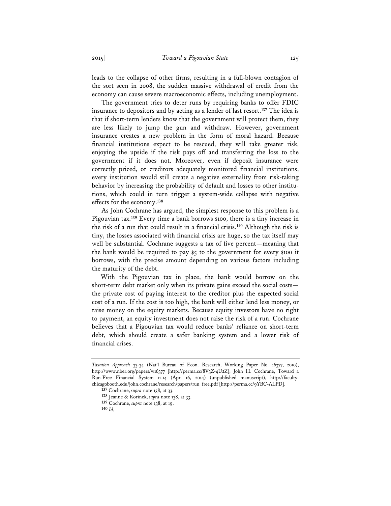leads to the collapse of other firms, resulting in a full-blown contagion of the sort seen in 2008, the sudden massive withdrawal of credit from the economy can cause severe macroeconomic effects, including unemployment.

The government tries to deter runs by requiring banks to offer FDIC insurance to depositors and by acting as a lender of last resort.**<sup>137</sup>** The idea is that if short-term lenders know that the government will protect them, they are less likely to jump the gun and withdraw. However, government insurance creates a new problem in the form of moral hazard. Because financial institutions expect to be rescued, they will take greater risk, enjoying the upside if the risk pays off and transferring the loss to the government if it does not. Moreover, even if deposit insurance were correctly priced, or creditors adequately monitored financial institutions, every institution would still create a negative externality from risk-taking behavior by increasing the probability of default and losses to other institutions, which could in turn trigger a system-wide collapse with negative effects for the economy.**<sup>138</sup>**

As John Cochrane has argued, the simplest response to this problem is a Pigouvian tax.**<sup>139</sup>** Every time a bank borrows \$100, there is a tiny increase in the risk of a run that could result in a financial crisis.**<sup>140</sup>** Although the risk is tiny, the losses associated with financial crisis are huge, so the tax itself may well be substantial. Cochrane suggests a tax of five percent—meaning that the bank would be required to pay \$5 to the government for every \$100 it borrows, with the precise amount depending on various factors including the maturity of the debt.

 With the Pigouvian tax in place, the bank would borrow on the short-term debt market only when its private gains exceed the social costs the private cost of paying interest to the creditor plus the expected social cost of a run. If the cost is too high, the bank will either lend less money, or raise money on the equity markets. Because equity investors have no right to payment, an equity investment does not raise the risk of a run. Cochrane believes that a Pigouvian tax would reduce banks' reliance on short-term debt, which should create a safer banking system and a lower risk of financial crises.

*Taxation Approach* 33-34 (Nat'l Bureau of Econ. Research, Working Paper No. 16377, 2010), http://www.nber.org/papers/w16377 [http://perma.cc/8V3Z-4U2Z]; John H. Cochrane, Toward a Run-Free Financial System 11-14 (Apr. 16, 2014) (unpublished manuscript), http://faculty. chicagobooth.edu/john.cochrane/research/papers/run\_free.pdf [http://perma.cc/9YBC-ALPD].

**<sup>137</sup>** Cochrane, *supra* note 138, at 33.

**<sup>138</sup>** Jeanne & Korinek, *supra* note 138, at 33.

**<sup>139</sup>** Cochrane, *supra* note 138, at 19.

**<sup>140</sup>** *Id.*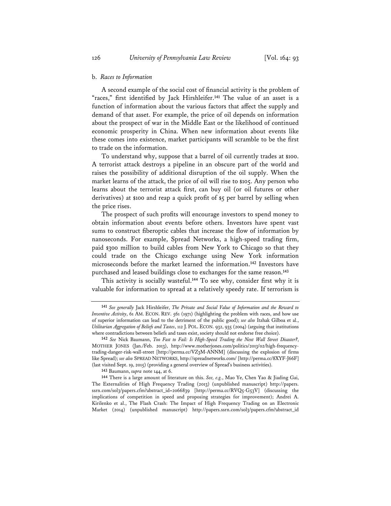#### b. *Races to Information*

A second example of the social cost of financial activity is the problem of "races," first identified by Jack Hirshleifer.**<sup>141</sup>** The value of an asset is a function of information about the various factors that affect the supply and demand of that asset. For example, the price of oil depends on information about the prospect of war in the Middle East or the likelihood of continued economic prosperity in China. When new information about events like these comes into existence, market participants will scramble to be the first to trade on the information.

To understand why, suppose that a barrel of oil currently trades at \$100. A terrorist attack destroys a pipeline in an obscure part of the world and raises the possibility of additional disruption of the oil supply. When the market learns of the attack, the price of oil will rise to \$105. Any person who learns about the terrorist attack first, can buy oil (or oil futures or other derivatives) at \$100 and reap a quick profit of \$5 per barrel by selling when the price rises.

The prospect of such profits will encourage investors to spend money to obtain information about events before others. Investors have spent vast sums to construct fiberoptic cables that increase the flow of information by nanoseconds. For example, Spread Networks, a high-speed trading firm, paid \$300 million to build cables from New York to Chicago so that they could trade on the Chicago exchange using New York information microseconds before the market learned the information.**<sup>142</sup>** Investors have purchased and leased buildings close to exchanges for the same reason.**<sup>143</sup>**

This activity is socially wasteful.**<sup>144</sup>** To see why, consider first why it is valuable for information to spread at a relatively speedy rate. If terrorism is

**<sup>143</sup>** Baumann, *supra* note 144, at 6. **<sup>144</sup>** There is a large amount of literature on this. *See, e.g.*, Mao Ye, Chen Yao & Jiading Gai, The Externalities of High Frequency Trading (2013) (unpublished manuscript) http://papers. ssrn.com/sol3/papers.cfm?abstract\_id=2066839 [http://perma.cc/RVQ5-G53V] (discussing the implications of competition in speed and proposing strategies for improvement); Andrei A. Kirilenko et al., The Flash Crash: The Impact of High Frequency Trading on an Electronic Market (2014) (unpublished manuscript) http://papers.ssrn.com/sol3/papers.cfm?abstract\_id

**<sup>141</sup>** *See generally* Jack Hirshleifer, *The Private and Social Value of Information and the Reward to Inventive Activity*, 61 AM. ECON. REV. 561 (1971) (highlighting the problem with races, and how use of superior information can lead to the detriment of the public good); *see also* Itzhak Gilboa et al., *Utilitarian Aggregation of Beliefs and Tastes*, 112 J. POL. ECON. 932, 935 (2004) (arguing that institutions where contradictions between beliefs and taxes exist, society should not endorse free choice).

**<sup>142</sup>** *See* Nick Baumann, *Too Fast to Fail: Is High-Speed Trading the Next Wall Street Disaster?*, MOTHER JONES (Jan./Feb. 2013), http://www.motherjones.com/politics/2013/02/high-frequencytrading-danger-risk-wall-street [http://perma.cc/VZ3M-ANNM] (discussing the explosion of firms like Spread); *see also* SPREAD NETWORKS, http://spreadnetworks.com/ [http://perma.cc/8XYF-J66F] (last visited Sept. 19, 2015) (providing a general overview of Spread's business activities).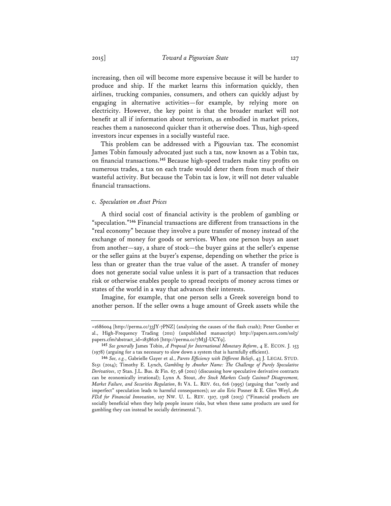increasing, then oil will become more expensive because it will be harder to produce and ship. If the market learns this information quickly, then airlines, trucking companies, consumers, and others can quickly adjust by engaging in alternative activities—for example, by relying more on electricity. However, the key point is that the broader market will not benefit at all if information about terrorism, as embodied in market prices, reaches them a nanosecond quicker than it otherwise does. Thus, high-speed investors incur expenses in a socially wasteful race.

 This problem can be addressed with a Pigouvian tax. The economist James Tobin famously advocated just such a tax, now known as a Tobin tax, on financial transactions.**<sup>145</sup>** Because high-speed traders make tiny profits on numerous trades, a tax on each trade would deter them from much of their wasteful activity. But because the Tobin tax is low, it will not deter valuable financial transactions.

#### c. *Speculation on Asset Prices*

A third social cost of financial activity is the problem of gambling or "speculation."**<sup>146</sup>** Financial transactions are different from transactions in the "real economy" because they involve a pure transfer of money instead of the exchange of money for goods or services. When one person buys an asset from another—say, a share of stock—the buyer gains at the seller's expense or the seller gains at the buyer's expense, depending on whether the price is less than or greater than the true value of the asset. A transfer of money does not generate social value unless it is part of a transaction that reduces risk or otherwise enables people to spread receipts of money across times or states of the world in a way that advances their interests.

Imagine, for example, that one person sells a Greek sovereign bond to another person. If the seller owns a huge amount of Greek assets while the

<sup>=1686004 [</sup>http://perma.cc/33JY-7PNZ] (analyzing the causes of the flash crash); Peter Gomber et al., High-Frequency Trading (2011) (unpublished manuscript) http://papers.ssrn.com/sol3/ papers.cfm?abstract\_id=1858626 [http://perma.cc/7M3J-UCY9].

**<sup>145</sup>** *See generally* James Tobin, *A Proposal for International Monetary Reform*, 4 E. ECON. J. 153 (1978) (arguing for a tax necessary to slow down a system that is harmfully efficient).

**<sup>146</sup>** *See, e.g.*, Gabrielle Gayer et al., *Pareto Efficiency with Different Beliefs*, 43 J. LEGAL STUD. S151 (2014); Timothy E. Lynch, *Gambling by Another Name: The Challenge of Purely Speculative Derivatives*, 17 Stan. J.L. Bus. & Fin. 67, 98 (2011) (discussing how speculative derivative contracts can be economically irrational); Lynn A. Stout, *Are Stock Markets Costly Casinos? Disagreement, Market Failure, and Securities Regulation*, 81 VA. L. REV. 611, 616 (1995) (arguing that "costly and imperfect" speculation leads to harmful consequences); *see also* Eric Posner & E. Glen Weyl, *An FDA for Financial Innovation*, 107 NW. U. L. REV. 1307, 1308 (2013) ("Financial products are socially beneficial when they help people insure risks, but when these same products are used for gambling they can instead be socially detrimental.").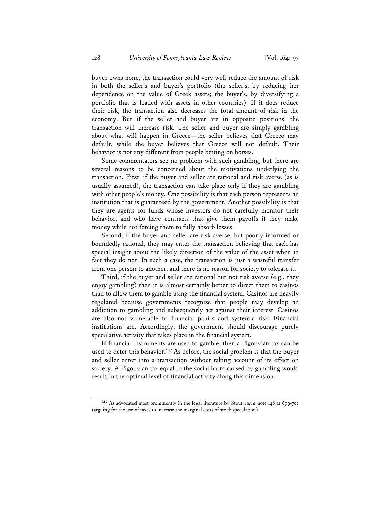buyer owns none, the transaction could very well reduce the amount of risk in both the seller's and buyer's portfolio (the seller's, by reducing her dependence on the value of Greek assets; the buyer's, by diversifying a portfolio that is loaded with assets in other countries). If it does reduce their risk, the transaction also decreases the total amount of risk in the economy. But if the seller and buyer are in opposite positions, the transaction will increase risk. The seller and buyer are simply gambling about what will happen in Greece—the seller believes that Greece may default, while the buyer believes that Greece will not default. Their behavior is not any different from people betting on horses.

Some commentators see no problem with such gambling, but there are several reasons to be concerned about the motivations underlying the transaction. First, if the buyer and seller are rational and risk averse (as is usually assumed), the transaction can take place only if they are gambling with other people's money. One possibility is that each person represents an institution that is guaranteed by the government. Another possibility is that they are agents for funds whose investors do not carefully monitor their behavior, and who have contracts that give them payoffs if they make money while not forcing them to fully absorb losses.

Second, if the buyer and seller are risk averse, but poorly informed or boundedly rational, they may enter the transaction believing that each has special insight about the likely direction of the value of the asset when in fact they do not. In such a case, the transaction is just a wasteful transfer from one person to another, and there is no reason for society to tolerate it.

Third, if the buyer and seller are rational but not risk averse (e.g., they enjoy gambling) then it is almost certainly better to direct them to casinos than to allow them to gamble using the financial system. Casinos are heavily regulated because governments recognize that people may develop an addiction to gambling and subsequently act against their interest. Casinos are also not vulnerable to financial panics and systemic risk. Financial institutions are. Accordingly, the government should discourage purely speculative activity that takes place in the financial system.

If financial instruments are used to gamble, then a Pigouvian tax can be used to deter this behavior.**<sup>147</sup>** As before, the social problem is that the buyer and seller enter into a transaction without taking account of its effect on society. A Pigouvian tax equal to the social harm caused by gambling would result in the optimal level of financial activity along this dimension.

**<sup>147</sup>** As advocated most prominently in the legal literature by Stout, *supra* note 148 at 699-702 (arguing for the use of taxes to increase the marginal costs of stock speculation).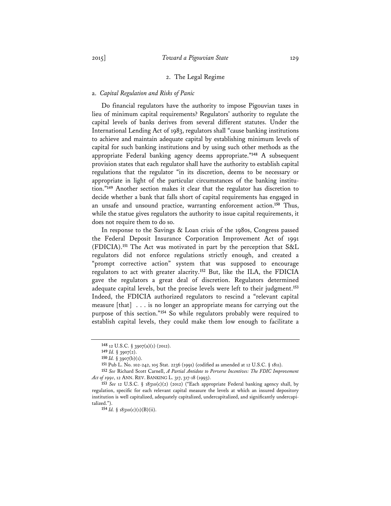#### 2. The Legal Regime

#### a. *Capital Regulation and Risks of Panic*

Do financial regulators have the authority to impose Pigouvian taxes in lieu of minimum capital requirements? Regulators' authority to regulate the capital levels of banks derives from several different statutes. Under the International Lending Act of 1983, regulators shall "cause banking institutions to achieve and maintain adequate capital by establishing minimum levels of capital for such banking institutions and by using such other methods as the appropriate Federal banking agency deems appropriate."**<sup>148</sup>** A subsequent provision states that each regulator shall have the authority to establish capital regulations that the regulator "in its discretion, deems to be necessary or appropriate in light of the particular circumstances of the banking institution."**<sup>149</sup>** Another section makes it clear that the regulator has discretion to decide whether a bank that falls short of capital requirements has engaged in an unsafe and unsound practice, warranting enforcement action.**<sup>150</sup>** Thus, while the statue gives regulators the authority to issue capital requirements, it does not require them to do so.

In response to the Savings & Loan crisis of the 1980s, Congress passed the Federal Deposit Insurance Corporation Improvement Act of 1991 (FDICIA).**<sup>151</sup>** The Act was motivated in part by the perception that S&L regulators did not enforce regulations strictly enough, and created a "prompt corrective action" system that was supposed to encourage regulators to act with greater alacrity.**<sup>152</sup>** But, like the ILA, the FDICIA gave the regulators a great deal of discretion. Regulators determined adequate capital levels, but the precise levels were left to their judgment.**<sup>153</sup>** Indeed, the FDICIA authorized regulators to rescind a "relevant capital measure [that] . . . is no longer an appropriate means for carrying out the purpose of this section."**<sup>154</sup>** So while regulators probably were required to establish capital levels, they could make them low enough to facilitate a

**<sup>148</sup>** 12 U.S.C. § 3907(a)(1) (2012).

**<sup>149</sup>** *Id.* § 3907(2).

**<sup>150</sup>** *Id.* § 3907(b)(1).

**<sup>151</sup>** Pub L. No. 102-242, 105 Stat. 2236 (1991) (codified as amended at 12 U.S.C. § 1811).

**<sup>152</sup>** *See* Richard Scott Carnell, *A Partial Antidote to Perverse Incentives: The FDIC Improvement Act of 1991*, 12 ANN. REV. BANKING L. 317, 317-18 (1993).

**<sup>153</sup>** *See* 12 U.S.C. § 1831o(c)(2) (2012) ("Each appropriate Federal banking agency shall, by regulation, specific for each relevant capital measure the levels at which an insured depository institution is well capitalized, adequately capitalized, undercapitalized, and significantly undercapitalized.").

 $154$  *Id.* §  $18310(c)(1)(B)(ii)$ .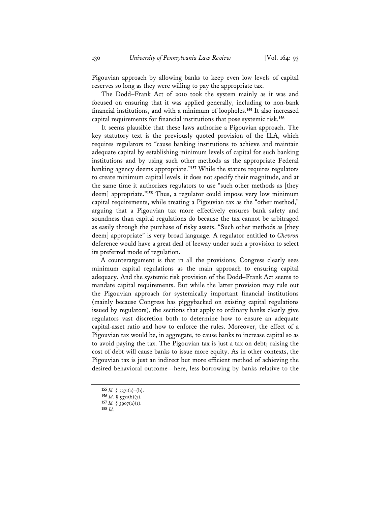Pigouvian approach by allowing banks to keep even low levels of capital reserves so long as they were willing to pay the appropriate tax.

The Dodd–Frank Act of 2010 took the system mainly as it was and focused on ensuring that it was applied generally, including to non-bank financial institutions, and with a minimum of loopholes.**<sup>155</sup>** It also increased capital requirements for financial institutions that pose systemic risk.**<sup>156</sup>**

It seems plausible that these laws authorize a Pigouvian approach. The key statutory text is the previously quoted provision of the ILA, which requires regulators to "cause banking institutions to achieve and maintain adequate capital by establishing minimum levels of capital for such banking institutions and by using such other methods as the appropriate Federal banking agency deems appropriate."**<sup>157</sup>** While the statute requires regulators to create minimum capital levels, it does not specify their magnitude, and at the same time it authorizes regulators to use "such other methods as [they deem] appropriate."**<sup>158</sup>** Thus, a regulator could impose very low minimum capital requirements, while treating a Pigouvian tax as the "other method," arguing that a Pigouvian tax more effectively ensures bank safety and soundness than capital regulations do because the tax cannot be arbitraged as easily through the purchase of risky assets. "Such other methods as [they deem] appropriate" is very broad language. A regulator entitled to *Chevron*  deference would have a great deal of leeway under such a provision to select its preferred mode of regulation.

 A counterargument is that in all the provisions, Congress clearly sees minimum capital regulations as the main approach to ensuring capital adequacy. And the systemic risk provision of the Dodd–Frank Act seems to mandate capital requirements. But while the latter provision may rule out the Pigouvian approach for systemically important financial institutions (mainly because Congress has piggybacked on existing capital regulations issued by regulators), the sections that apply to ordinary banks clearly give regulators vast discretion both to determine how to ensure an adequate capital-asset ratio and how to enforce the rules. Moreover, the effect of a Pigouvian tax would be, in aggregate, to cause banks to increase capital so as to avoid paying the tax. The Pigouvian tax is just a tax on debt; raising the cost of debt will cause banks to issue more equity. As in other contexts, the Pigouvian tax is just an indirect but more efficient method of achieving the desired behavioral outcome—here, less borrowing by banks relative to the

**<sup>155</sup>** *Id.* § 5371(a)–(b).

**<sup>156</sup>** *Id.* § 5371(b)(7).

**<sup>157</sup>** *Id.* § 3907(a)(1).

**<sup>158</sup>** *Id.*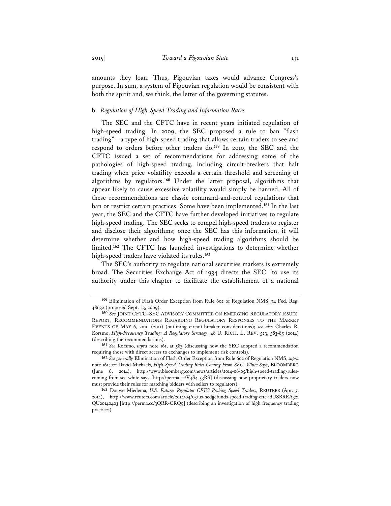amounts they loan. Thus, Pigouvian taxes would advance Congress's purpose. In sum, a system of Pigouvian regulation would be consistent with both the spirit and, we think, the letter of the governing statutes.

#### b. *Regulation of High-Speed Trading and Information Races*

The SEC and the CFTC have in recent years initiated regulation of high-speed trading. In 2009, the SEC proposed a rule to ban "flash trading"—a type of high-speed trading that allows certain traders to see and respond to orders before other traders do.**<sup>159</sup>** In 2010, the SEC and the CFTC issued a set of recommendations for addressing some of the pathologies of high-speed trading, including circuit-breakers that halt trading when price volatility exceeds a certain threshold and screening of algorithms by regulators.**<sup>160</sup>** Under the latter proposal, algorithms that appear likely to cause excessive volatility would simply be banned. All of these recommendations are classic command-and-control regulations that ban or restrict certain practices. Some have been implemented.**<sup>161</sup>** In the last year, the SEC and the CFTC have further developed initiatives to regulate high-speed trading. The SEC seeks to compel high-speed traders to register and disclose their algorithms; once the SEC has this information, it will determine whether and how high-speed trading algorithms should be limited.**<sup>162</sup>** The CFTC has launched investigations to determine whether high-speed traders have violated its rules.**<sup>163</sup>**

The SEC's authority to regulate national securities markets is extremely broad. The Securities Exchange Act of 1934 directs the SEC "to use its authority under this chapter to facilitate the establishment of a national

**<sup>159</sup>** Elimination of Flash Order Exception from Rule 602 of Regulation NMS, 74 Fed. Reg. 48632 (proposed Sept. 23, 2009).

**<sup>160</sup>** *See* JOINT CFTC–SEC ADVISORY COMMITTEE ON EMERGING REGULATORY ISSUES' REPORT, RECOMMENDATIONS REGARDING REGULATORY RESPONSES TO THE MARKET EVENTS OF MAY 6, 2010 (2011) (outlining circuit-breaker considerations); *see also* Charles R. Korsmo, *High-Frequency Trading: A Regulatory Strategy*, 48 U. RICH. L. REV. 523, 583-85 (2014) (describing the recommendations).

**<sup>161</sup>** *See* Korsmo, *supra* note 161, at 583 (discussing how the SEC adopted a recommendation requiring those with direct access to exchanges to implement risk controls).

**<sup>162</sup>** *See generally* Elimination of Flash Order Exception from Rule 602 of Regulation NMS, *supra* note 161; *see* David Michaels, *High-Speed Trading Rules Coming From SEC, White Says*, BLOOMBERG (June 6, 2014), http://www.bloomberg.com/news/articles/2014-06-05/high-speed-trading-rulescoming-from-sec-white-says [http://perma.cc/V4S4-53RS] (discussing how proprietary traders now must provide their rules for matching bidders with sellers to regulators).

**<sup>163</sup>** Douwe Miedema, *U.S. Futures Regulator CFTC Probing Speed Traders*, REUTERS (Apr. 3, 2014), http://www.reuters.com/article/2014/04/03/us-hedgefunds-speed-trading-cftc-idUSBREA321 QU20140403 [http://perma.cc/3QRR-CRQ9] (describing an investigation of high frequency trading practices).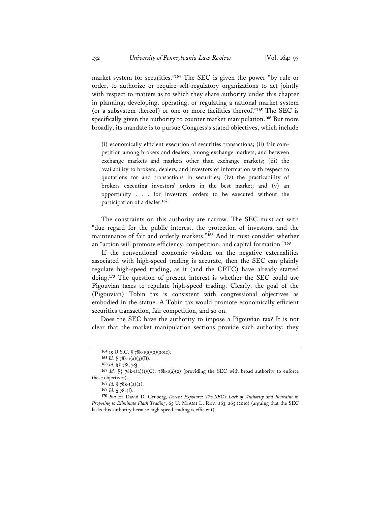market system for securities."**<sup>164</sup>** The SEC is given the power "by rule or order, to authorize or require self-regulatory organizations to act jointly with respect to matters as to which they share authority under this chapter in planning, developing, operating, or regulating a national market system (or a subsystem thereof) or one or more facilities thereof."**<sup>165</sup>** The SEC is specifically given the authority to counter market manipulation.**<sup>166</sup>** But more broadly, its mandate is to pursue Congress's stated objectives, which include

(i) economically efficient execution of securities transactions; (ii) fair competition among brokers and dealers, among exchange markets, and between exchange markets and markets other than exchange markets; (iii) the availability to brokers, dealers, and investors of information with respect to quotations for and transactions in securities; (iv) the practicability of brokers executing investors' orders in the best market; and (v) an opportunity . . . for investors' orders to be executed without the participation of a dealer.**<sup>167</sup>**

The constraints on this authority are narrow. The SEC must act with "due regard for the public interest, the protection of investors, and the maintenance of fair and orderly markets."**<sup>168</sup>** And it must consider whether an "action will promote efficiency, competition, and capital formation."**<sup>169</sup>**

If the conventional economic wisdom on the negative externalities associated with high-speed trading is accurate, then the SEC can plainly regulate high-speed trading, as it (and the CFTC) have already started doing.**<sup>170</sup>** The question of present interest is whether the SEC could use Pigouvian taxes to regulate high-speed trading. Clearly, the goal of the (Pigouvian) Tobin tax is consistent with congressional objectives as embodied in the statue. A Tobin tax would promote economically efficient securities transaction, fair competition, and so on.

 Does the SEC have the authority to impose a Pigouvian tax? It is not clear that the market manipulation sections provide such authority; they

**<sup>164</sup>** 15 U.S.C. § 78k-1(a)(2)(2012).

**<sup>165</sup>** *Id.* § 78k-1(a)(3)(B).

**<sup>166</sup>** *Id.* §§ 78i, 78j.

**<sup>167</sup>** *Id.* §§ 78k-1(a)(1)(C); 78k-1(a)(2) (providing the SEC with broad authority to enforce these objectives).

**<sup>168</sup>** *Id.* § 78k-1(a)(2).

**<sup>169</sup>** *Id.* § 78c(f).

**<sup>170</sup>** *But see* David D. Gruberg, *Decent Exposure: The SEC's Lack of Authority and Restraint in Proposing to Eliminate Flash Trading*, 65 U. MIAMI L. REV. 263, 265 (2010) (arguing that the SEC lacks this authority because high-speed trading is efficient).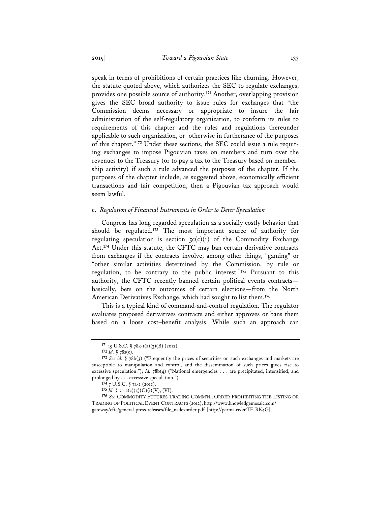speak in terms of prohibitions of certain practices like churning. However, the statute quoted above, which authorizes the SEC to regulate exchanges, provides one possible source of authority.**<sup>171</sup>** Another, overlapping provision gives the SEC broad authority to issue rules for exchanges that "the Commission deems necessary or appropriate to insure the fair administration of the self-regulatory organization, to conform its rules to requirements of this chapter and the rules and regulations thereunder applicable to such organization, or otherwise in furtherance of the purposes of this chapter."**<sup>172</sup>** Under these sections, the SEC could issue a rule requiring exchanges to impose Pigouvian taxes on members and turn over the revenues to the Treasury (or to pay a tax to the Treasury based on membership activity) if such a rule advanced the purposes of the chapter. If the purposes of the chapter include, as suggested above, economically efficient transactions and fair competition, then a Pigouvian tax approach would seem lawful.

#### c. *Regulation of Financial Instruments in Order to Deter Speculation*

Congress has long regarded speculation as a socially costly behavior that should be regulated.**<sup>173</sup>** The most important source of authority for regulating speculation is section  $5c(c)(1)$  of the Commodity Exchange Act.**<sup>174</sup>** Under this statute, the CFTC may ban certain derivative contracts from exchanges if the contracts involve, among other things, "gaming" or "other similar activities determined by the Commission, by rule or regulation, to be contrary to the public interest."**<sup>175</sup>** Pursuant to this authority, the CFTC recently banned certain political events contracts basically, bets on the outcomes of certain elections—from the North American Derivatives Exchange, which had sought to list them.**<sup>176</sup>**

This is a typical kind of command-and-control regulation. The regulator evaluates proposed derivatives contracts and either approves or bans them based on a loose cost–benefit analysis. While such an approach can

<sup>171 &</sup>lt;sub>15</sub> U.S.C.  $\frac{5}{7}$  78k-1(a)(3)(B) (2012).

**<sup>172</sup>** *Id.* § 78s(c).

**<sup>173</sup>** *See id.* § 78b(3) ("Frequently the prices of securities on such exchanges and markets are susceptible to manipulation and control, and the dissemination of such prices gives rise to excessive speculation."); *Id.* 78b(4) ("National emergencies . . . are precipitated, intensified, and prolonged by . . . excessive speculation.").

**<sup>174</sup>** 7 U.S.C. § 7a-2 (2012).

**<sup>175</sup>** *Id.* § 7a-2(c)(5)(C)(i)(V), (VI).

**<sup>176</sup>** *See* COMMODITY FUTURES TRADING COMM'N., ORDER PROHIBITING THE LISTING OR TRADING OF POLITICAL EVENT CONTRACTS (2012), http://www.knowledgemosaic.com/ gateway/cftc/general-press-releases/file\_nadexorder.pdf [http://perma.cc/26TE-RK4G].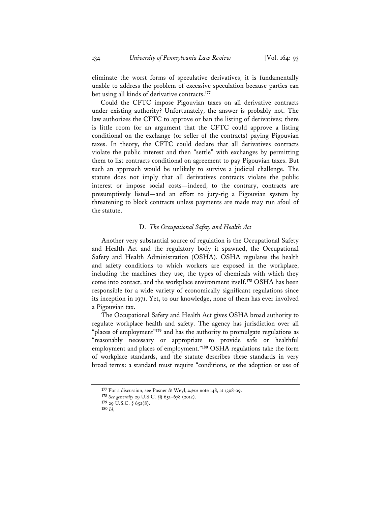eliminate the worst forms of speculative derivatives, it is fundamentally unable to address the problem of excessive speculation because parties can bet using all kinds of derivative contracts.**<sup>177</sup>**

 Could the CFTC impose Pigouvian taxes on all derivative contracts under existing authority? Unfortunately, the answer is probably not. The law authorizes the CFTC to approve or ban the listing of derivatives; there is little room for an argument that the CFTC could approve a listing conditional on the exchange (or seller of the contracts) paying Pigouvian taxes. In theory, the CFTC could declare that all derivatives contracts violate the public interest and then "settle" with exchanges by permitting them to list contracts conditional on agreement to pay Pigouvian taxes. But such an approach would be unlikely to survive a judicial challenge. The statute does not imply that all derivatives contracts violate the public interest or impose social costs—indeed, to the contrary, contracts are presumptively listed—and an effort to jury-rig a Pigouvian system by threatening to block contracts unless payments are made may run afoul of the statute.

#### D. *The Occupational Safety and Health Act*

Another very substantial source of regulation is the Occupational Safety and Health Act and the regulatory body it spawned, the Occupational Safety and Health Administration (OSHA). OSHA regulates the health and safety conditions to which workers are exposed in the workplace, including the machines they use, the types of chemicals with which they come into contact, and the workplace environment itself.**<sup>178</sup>** OSHA has been responsible for a wide variety of economically significant regulations since its inception in 1971. Yet, to our knowledge, none of them has ever involved a Pigouvian tax.

The Occupational Safety and Health Act gives OSHA broad authority to regulate workplace health and safety. The agency has jurisdiction over all "places of employment"**<sup>179</sup>** and has the authority to promulgate regulations as "reasonably necessary or appropriate to provide safe or healthful employment and places of employment."**<sup>180</sup>** OSHA regulations take the form of workplace standards, and the statute describes these standards in very broad terms: a standard must require "conditions, or the adoption or use of

**<sup>177</sup>** For a discussion, see Posner & Weyl, *supra* note 148, at 1308-09.

**<sup>178</sup>** *See generally* 29 U.S.C. §§ 651–678 (2012).

**<sup>179</sup>** 29 U.S.C. § 652(8).

**<sup>180</sup>** *Id.*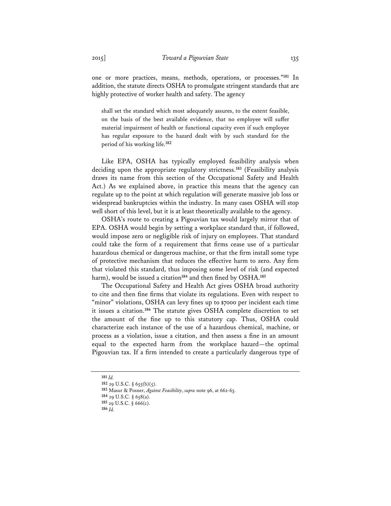one or more practices, means, methods, operations, or processes."**<sup>181</sup>** In addition, the statute directs OSHA to promulgate stringent standards that are

highly protective of worker health and safety. The agency

shall set the standard which most adequately assures, to the extent feasible, on the basis of the best available evidence, that no employee will suffer material impairment of health or functional capacity even if such employee has regular exposure to the hazard dealt with by such standard for the period of his working life.**<sup>182</sup>**

Like EPA, OSHA has typically employed feasibility analysis when deciding upon the appropriate regulatory strictness.**<sup>183</sup>** (Feasibility analysis draws its name from this section of the Occupational Safety and Health Act.) As we explained above, in practice this means that the agency can regulate up to the point at which regulation will generate massive job loss or widespread bankruptcies within the industry. In many cases OSHA will stop well short of this level, but it is at least theoretically available to the agency.

OSHA's route to creating a Pigouvian tax would largely mirror that of EPA. OSHA would begin by setting a workplace standard that, if followed, would impose zero or negligible risk of injury on employees. That standard could take the form of a requirement that firms cease use of a particular hazardous chemical or dangerous machine, or that the firm install some type of protective mechanism that reduces the effective harm to zero. Any firm that violated this standard, thus imposing some level of risk (and expected harm), would be issued a citation**<sup>184</sup>** and then fined by OSHA.**<sup>185</sup>**

The Occupational Safety and Health Act gives OSHA broad authority to cite and then fine firms that violate its regulations. Even with respect to "minor" violations, OSHA can levy fines up to \$7000 per incident each time it issues a citation.**<sup>186</sup>** The statute gives OSHA complete discretion to set the amount of the fine up to this statutory cap. Thus, OSHA could characterize each instance of the use of a hazardous chemical, machine, or process as a violation, issue a citation, and then assess a fine in an amount equal to the expected harm from the workplace hazard—the optimal Pigouvian tax. If a firm intended to create a particularly dangerous type of

**<sup>181</sup>** *Id.*

**<sup>182</sup>** 29 U.S.C. § 655(b)(5).

**<sup>183</sup>** Masur & Posner, *Against Feasibility*, *supra* note 96, at 662-63.

**<sup>184</sup>** 29 U.S.C. § 658(a).

**<sup>185</sup>** 29 U.S.C. § 666(c).

**<sup>186</sup>** *Id.*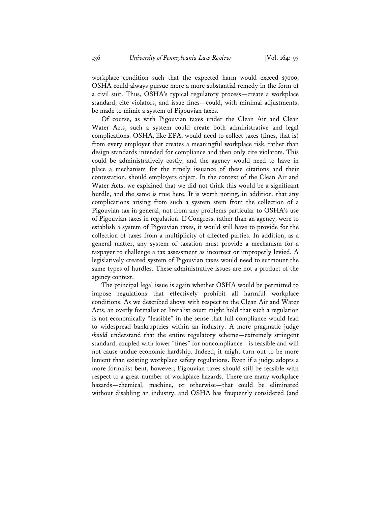workplace condition such that the expected harm would exceed \$7000, OSHA could always pursue more a more substantial remedy in the form of a civil suit. Thus, OSHA's typical regulatory process—create a workplace standard, cite violators, and issue fines—could, with minimal adjustments, be made to mimic a system of Pigouvian taxes.

Of course, as with Pigouvian taxes under the Clean Air and Clean Water Acts, such a system could create both administrative and legal complications. OSHA, like EPA, would need to collect taxes (fines, that is) from every employer that creates a meaningful workplace risk, rather than design standards intended for compliance and then only cite violators. This could be administratively costly, and the agency would need to have in place a mechanism for the timely issuance of these citations and their contestation, should employers object. In the context of the Clean Air and Water Acts, we explained that we did not think this would be a significant hurdle, and the same is true here. It is worth noting, in addition, that any complications arising from such a system stem from the collection of a Pigouvian tax in general, not from any problems particular to OSHA's use of Pigouvian taxes in regulation. If Congress, rather than an agency, were to establish a system of Pigouvian taxes, it would still have to provide for the collection of taxes from a multiplicity of affected parties. In addition, as a general matter, any system of taxation must provide a mechanism for a taxpayer to challenge a tax assessment as incorrect or improperly levied. A legislatively created system of Pigouvian taxes would need to surmount the same types of hurdles. These administrative issues are not a product of the agency context.

The principal legal issue is again whether OSHA would be permitted to impose regulations that effectively prohibit all harmful workplace conditions. As we described above with respect to the Clean Air and Water Acts, an overly formalist or literalist court might hold that such a regulation is not economically "feasible" in the sense that full compliance would lead to widespread bankruptcies within an industry. A more pragmatic judge *should* understand that the entire regulatory scheme—extremely stringent standard, coupled with lower "fines" for noncompliance—is feasible and will not cause undue economic hardship. Indeed, it might turn out to be more lenient than existing workplace safety regulations. Even if a judge adopts a more formalist bent, however, Pigouvian taxes should still be feasible with respect to a great number of workplace hazards. There are many workplace hazards—chemical, machine, or otherwise—that could be eliminated without disabling an industry, and OSHA has frequently considered (and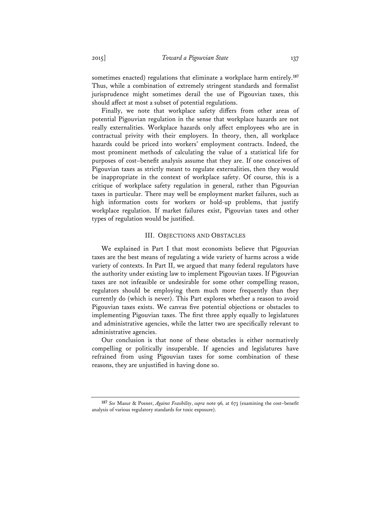sometimes enacted) regulations that eliminate a workplace harm entirely.**<sup>187</sup>** Thus, while a combination of extremely stringent standards and formalist jurisprudence might sometimes derail the use of Pigouvian taxes, this should affect at most a subset of potential regulations.

 Finally, we note that workplace safety differs from other areas of potential Pigouvian regulation in the sense that workplace hazards are not really externalities. Workplace hazards only affect employees who are in contractual privity with their employers. In theory, then, all workplace hazards could be priced into workers' employment contracts. Indeed, the most prominent methods of calculating the value of a statistical life for purposes of cost–benefit analysis assume that they are. If one conceives of Pigouvian taxes as strictly meant to regulate externalities, then they would be inappropriate in the context of workplace safety. Of course, this is a critique of workplace safety regulation in general, rather than Pigouvian taxes in particular. There may well be employment market failures, such as high information costs for workers or hold-up problems, that justify workplace regulation. If market failures exist, Pigouvian taxes and other types of regulation would be justified.

#### III. OBJECTIONS AND OBSTACLES

We explained in Part I that most economists believe that Pigouvian taxes are the best means of regulating a wide variety of harms across a wide variety of contexts. In Part II, we argued that many federal regulators have the authority under existing law to implement Pigouvian taxes. If Pigouvian taxes are not infeasible or undesirable for some other compelling reason, regulators should be employing them much more frequently than they currently do (which is never). This Part explores whether a reason to avoid Pigouvian taxes exists. We canvas five potential objections or obstacles to implementing Pigouvian taxes. The first three apply equally to legislatures and administrative agencies, while the latter two are specifically relevant to administrative agencies.

 Our conclusion is that none of these obstacles is either normatively compelling or politically insuperable. If agencies and legislatures have refrained from using Pigouvian taxes for some combination of these reasons, they are unjustified in having done so.

**<sup>187</sup>** *See* Masur & Posner, *Against Feasibility*, *supra* note 96*,* at 673 (examining the cost–benefit analysis of various regulatory standards for toxic exposure).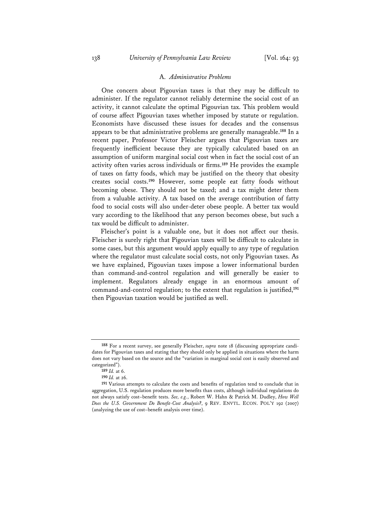#### A. *Administrative Problems*

One concern about Pigouvian taxes is that they may be difficult to administer. If the regulator cannot reliably determine the social cost of an activity, it cannot calculate the optimal Pigouvian tax. This problem would of course affect Pigouvian taxes whether imposed by statute or regulation. Economists have discussed these issues for decades and the consensus appears to be that administrative problems are generally manageable.**<sup>188</sup>** In a recent paper, Professor Victor Fleischer argues that Pigouvian taxes are frequently inefficient because they are typically calculated based on an assumption of uniform marginal social cost when in fact the social cost of an activity often varies across individuals or firms.**<sup>189</sup>** He provides the example of taxes on fatty foods, which may be justified on the theory that obesity creates social costs.**<sup>190</sup>** However, some people eat fatty foods without becoming obese. They should not be taxed; and a tax might deter them from a valuable activity. A tax based on the average contribution of fatty food to social costs will also under-deter obese people. A better tax would vary according to the likelihood that any person becomes obese, but such a tax would be difficult to administer.

 Fleischer's point is a valuable one, but it does not affect our thesis. Fleischer is surely right that Pigouvian taxes will be difficult to calculate in some cases, but this argument would apply equally to any type of regulation where the regulator must calculate social costs, not only Pigouvian taxes. As we have explained, Pigouvian taxes impose a lower informational burden than command-and-control regulation and will generally be easier to implement. Regulators already engage in an enormous amount of command-and-control regulation; to the extent that regulation is justified,**<sup>191</sup>** then Pigouvian taxation would be justified as well.

**<sup>188</sup>** For a recent survey, see generally Fleischer, *supra* note 18 (discussing appropriate candidates for Pigouvian taxes and stating that they should only be applied in situations where the harm does not vary based on the source and the "variation in marginal social cost is easily observed and categorized").

**<sup>189</sup>** *Id.* at 6.

**<sup>190</sup>** *Id.* at 26.

**<sup>191</sup>** Various attempts to calculate the costs and benefits of regulation tend to conclude that in aggregation, U.S. regulation produces more benefits than costs, although individual regulations do not always satisfy cost–benefit tests. *See, e.g.*, Robert W. Hahn & Patrick M. Dudley, *How Well Does the U.S. Government Do Benefit-Cost Analysis?*, 9 REV. ENVTL. ECON. POL'Y 192 (2007) (analyzing the use of cost–benefit analysis over time).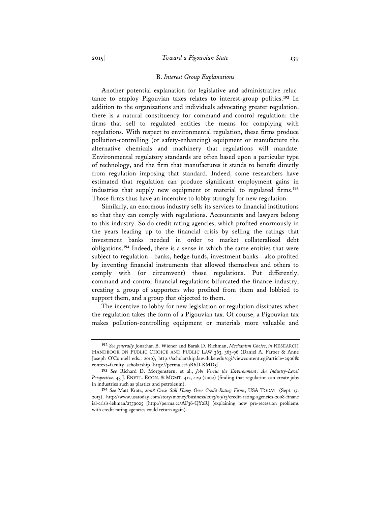#### B. *Interest Group Explanations*

Another potential explanation for legislative and administrative reluctance to employ Pigouvian taxes relates to interest-group politics.**<sup>192</sup>** In addition to the organizations and individuals advocating greater regulation, there is a natural constituency for command-and-control regulation: the firms that sell to regulated entities the means for complying with regulations. With respect to environmental regulation, these firms produce pollution-controlling (or safety-enhancing) equipment or manufacture the alternative chemicals and machinery that regulations will mandate. Environmental regulatory standards are often based upon a particular type of technology, and the firm that manufactures it stands to benefit directly from regulation imposing that standard. Indeed, some researchers have estimated that regulation can produce significant employment gains in industries that supply new equipment or material to regulated firms.**<sup>193</sup>** Those firms thus have an incentive to lobby strongly for new regulation.

Similarly, an enormous industry sells its services to financial institutions so that they can comply with regulations. Accountants and lawyers belong to this industry. So do credit rating agencies, which profited enormously in the years leading up to the financial crisis by selling the ratings that investment banks needed in order to market collateralized debt obligations.**<sup>194</sup>** Indeed, there is a sense in which the same entities that were subject to regulation—banks, hedge funds, investment banks—also profited by inventing financial instruments that allowed themselves and others to comply with (or circumvent) those regulations. Put differently, command-and-control financial regulations bifurcated the finance industry, creating a group of supporters who profited from them and lobbied to support them, and a group that objected to them.

The incentive to lobby for new legislation or regulation dissipates when the regulation takes the form of a Pigouvian tax. Of course, a Pigouvian tax makes pollution-controlling equipment or materials more valuable and

**<sup>192</sup>** *See generally* Jonathan B. Wiener and Barak D. Richman, *Mechanism Choice*, *in* RESEARCH HANDBOOK ON PUBLIC CHOICE AND PUBLIC LAW 363, 363-96 (Daniel A. Farber & Anne Joseph O'Connell eds., 2010), http://scholarship.law.duke.edu/cgi/viewcontent.cgi?article=2906& context=faculty\_scholarship [http://perma.cc/9R6D-KMD5].

**<sup>193</sup>** *See* Richard D. Morgenstern, et al., *Jobs Versus the Environment*: *An Industry-Level Perspective*, 43 J. ENVTL. ECON. & MGMT. 412, 429 (2002) (finding that regulation can create jobs in industries such as plastics and petroleum).

**<sup>194</sup>** *See* Matt Kratz, *2008 Crisis Still Hangs Over Credit-Rating Firms*, USA TODAY (Sept. 13, 2013), http://www.usatoday.com/story/money/business/2013/09/13/credit-rating-agencies-2008-financ ial-crisis-lehman/2759025 [http://perma.cc/AF36-QY2R] (explaining how pre-recession problems with credit rating agencies could return again).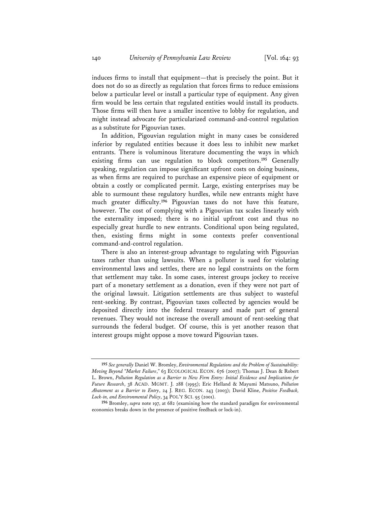induces firms to install that equipment—that is precisely the point. But it does not do so as directly as regulation that forces firms to reduce emissions below a particular level or install a particular type of equipment. Any given firm would be less certain that regulated entities would install its products. Those firms will then have a smaller incentive to lobby for regulation, and might instead advocate for particularized command-and-control regulation as a substitute for Pigouvian taxes.

In addition, Pigouvian regulation might in many cases be considered inferior by regulated entities because it does less to inhibit new market entrants. There is voluminous literature documenting the ways in which existing firms can use regulation to block competitors.**<sup>195</sup>** Generally speaking, regulation can impose significant upfront costs on doing business, as when firms are required to purchase an expensive piece of equipment or obtain a costly or complicated permit. Large, existing enterprises may be able to surmount these regulatory hurdles, while new entrants might have much greater difficulty.**<sup>196</sup>** Pigouvian taxes do not have this feature, however. The cost of complying with a Pigouvian tax scales linearly with the externality imposed; there is no initial upfront cost and thus no especially great hurdle to new entrants. Conditional upon being regulated, then, existing firms might in some contexts prefer conventional command-and-control regulation.

There is also an interest-group advantage to regulating with Pigouvian taxes rather than using lawsuits. When a polluter is sued for violating environmental laws and settles, there are no legal constraints on the form that settlement may take. In some cases, interest groups jockey to receive part of a monetary settlement as a donation, even if they were not part of the original lawsuit. Litigation settlements are thus subject to wasteful rent-seeking. By contrast, Pigouvian taxes collected by agencies would be deposited directly into the federal treasury and made part of general revenues. They would not increase the overall amount of rent-seeking that surrounds the federal budget. Of course, this is yet another reason that interest groups might oppose a move toward Pigouvian taxes.

**<sup>195</sup>** *See generally* Daniel W. Bromley, *Environmental Regulations and the Problem of Sustainability: Moving Beyond "Market Failure*,*"* 63 ECOLOGICAL ECON. 676 (2007); Thomas J. Dean & Robert L. Brown, *Pollution Regulation as a Barrier to New Firm Entry: Initial Evidence and Implications for Future Research*, 38 ACAD. MGMT. J. 288 (1995); Eric Helland & Mayumi Matsuno, *Pollution Abatement as a Barrier to Entry*, 24 J. REG. ECON. 243 (2003); David Kline, *Positive Feedback, Lock-in, and Environmental Policy*, 34 POL'Y SCI. 95 (2001).

**<sup>196</sup>** Bromley, *supra* note 197, at 682 (examining how the standard paradigm for environmental economics breaks down in the presence of positive feedback or lock-in).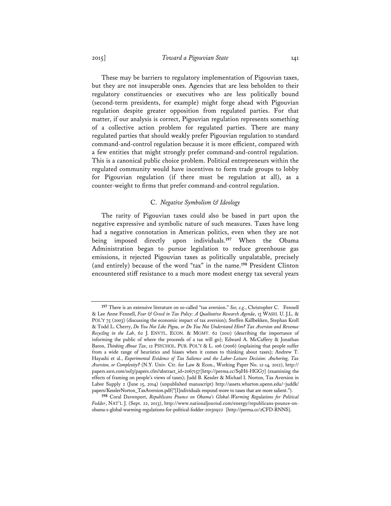These may be barriers to regulatory implementation of Pigouvian taxes, but they are not insuperable ones. Agencies that are less beholden to their regulatory constituencies or executives who are less politically bound (second-term presidents, for example) might forge ahead with Pigouvian regulation despite greater opposition from regulated parties. For that matter, if our analysis is correct, Pigouvian regulation represents something of a collective action problem for regulated parties. There are many regulated parties that should weakly prefer Pigouvian regulation to standard command-and-control regulation because it is more efficient, compared with a few entities that might strongly prefer command-and-control regulation. This is a canonical public choice problem. Political entrepreneurs within the regulated community would have incentives to form trade groups to lobby for Pigouvian regulation (if there must be regulation at all), as a counter-weight to firms that prefer command-and-control regulation.

#### C. *Negative Symbolism & Ideology*

The rarity of Pigouvian taxes could also be based in part upon the negative expressive and symbolic nature of such measures. Taxes have long had a negative connotation in American politics, even when they are not being imposed directly upon individuals.**<sup>197</sup>** When the Obama Administration began to pursue legislation to reduce greenhouse gas emissions, it rejected Pigouvian taxes as politically unpalatable, precisely (and entirely) because of the word "tax" in the name.**<sup>198</sup>** President Clinton encountered stiff resistance to a much more modest energy tax several years

**<sup>197</sup>** There is an extensive literature on so-called "tax aversion." *See, e.g.*, Christopher C. Fennell & Lee Anne Fennell, *Fear & Greed in Tax Policy: A Qualitative Research Agenda*, 13 WASH. U. J.L. & POL'Y 75 (2003) (discussing the economic impact of tax aversion); Steffen Kallbekken, Stephan Kroll & Todd L. Cherry, *Do You Not Like Pigou, or Do You Not Understand Him? Tax Aversion and Revenue Recycling in the Lab*, 62 J. ENVTL. ECON. & MGMT. 62 (2011) (describing the importance of informing the public of where the proceeds of a tax will go); Edward A. McCaffery & Jonathan Baron, *Thinking About Tax*, 12 PSYCHOL. PUB. POL'Y & L. 106 (2006) (explaining that people suffer from a wide range of heuristics and biases when it comes to thinking about taxes); Andrew T. Hayashi et al., *Experimental Evidence of Tax Salience and the Labor-Leisure Decision: Anchoring, Tax Aversion, or Complexity?* (N.Y. Univ. Ctr. for Law & Econ., Working Paper No. 12-14*,* 2012), http:// papers.ssrn.com/sol3/papers.cfm?abstract\_id=2067157[http://perma.cc/S9H6-HGG7] (examining the effects of framing on people's views of taxes); Judd B. Kessler & Michael I. Norton, Tax Aversion in Labor Supply 2 (June 15, 2014) (unpublished manuscript) http://assets.wharton.upenn.edu/~juddk/ papers/KesslerNorton\_TaxAversion.pdf("[I]ndividuals respond more to taxes that are more salient.").

**<sup>198</sup>** Coral Davenport, *Republicans Pounce on Obama's Global-Warming Regulations for Political Fodder*, NAT'L J. (Sept. 22, 2013), http://www.nationaljournal.com/energy/republicans-pounce-onobama-s-global-warming-regulations-for-political-fodder-20130922 [http://perma.cc/2CFD-RNNS].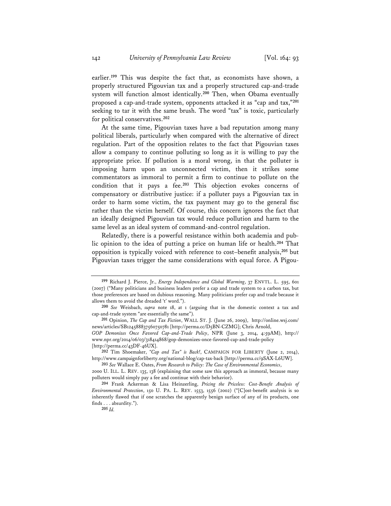earlier.**<sup>199</sup>** This was despite the fact that, as economists have shown, a properly structured Pigouvian tax and a properly structured cap-and-trade system will function almost identically.**<sup>200</sup>** Then, when Obama eventually proposed a cap-and-trade system, opponents attacked it as "cap and tax,"**<sup>201</sup>** seeking to tar it with the same brush. The word "tax" is toxic, particularly for political conservatives.**<sup>202</sup>**

At the same time, Pigouvian taxes have a bad reputation among many political liberals, particularly when compared with the alternative of direct regulation. Part of the opposition relates to the fact that Pigouvian taxes allow a company to continue polluting so long as it is willing to pay the appropriate price. If pollution is a moral wrong, in that the polluter is imposing harm upon an unconnected victim, then it strikes some commentators as immoral to permit a firm to continue to pollute on the condition that it pays a fee.**<sup>203</sup>** This objection evokes concerns of compensatory or distributive justice: if a polluter pays a Pigouvian tax in order to harm some victim, the tax payment may go to the general fisc rather than the victim herself. Of course, this concern ignores the fact that an ideally designed Pigouvian tax would reduce pollution and harm to the same level as an ideal system of command-and-control regulation.

Relatedly, there is a powerful resistance within both academia and public opinion to the idea of putting a price on human life or health.**<sup>204</sup>** That opposition is typically voiced with reference to cost–benefit analysis,**<sup>205</sup>** but Pigouvian taxes trigger the same considerations with equal force. A Pigou-

**<sup>199</sup>** Richard J. Pierce, Jr., *Energy Independence and Global Warming*, 37 ENVTL. L. 595, 601 (2007) ("Many politicians and business leaders prefer a cap and trade system to a carbon tax, but those preferences are based on dubious reasoning. Many politicians prefer cap and trade because it allows them to avoid the dreaded 't' word.").

**<sup>200</sup>** *See* Weisbach, *supra* note 18, at 1 (arguing that in the domestic context a tax and cap-and-trade system "are essentially the same")*.*

**<sup>201</sup>** Opinion, *The Cap and Tax Fiction*, WALL ST. J. (June 26, 2009), http://online.wsj.com/ news/articles/SB124588837560750781 [http://perma.cc/D5BN-CZMG]; Chris Arnold,

*GOP Demonizes Once Favored Cap-and-Trade Policy*, NPR (June 3, 2014, 4:59AM), http:// www.npr.org/2014/06/03/318414868/gop-demonizes-once-favored-cap-and-trade-policy [http://perma.cc/43DF-46UX].

**<sup>202</sup>** Tim Shoemaker, *"Cap and Tax" is Back!*, CAMPAIGN FOR LIBERTY (June 2, 2014), http://www.campaignforliberty.org/national-blog/cap-tax-back [http://perma.cc/9SAX-L6UW].

**<sup>203</sup>** *See* Wallace E. Oates, *From Research to Policy: The Case of Environmental Economics*,

<sup>2000</sup> U. ILL. L. REV. 135, 138 (explaining that some saw this approach as immoral, because many polluters would simply pay a fee and continue with their behavior).

**<sup>204</sup>** Frank Ackerman & Lisa Heinzerling, *Pricing the Priceless: Cost-Benefit Analysis of Environmental Protection*, 150 U. PA. L. REV. 1553, 1556 (2002) ("[C]ost-benefit analysis is so inherently flawed that if one scratches the apparently benign surface of any of its products, one finds . . . absurdity.").

**<sup>205</sup>** *Id.*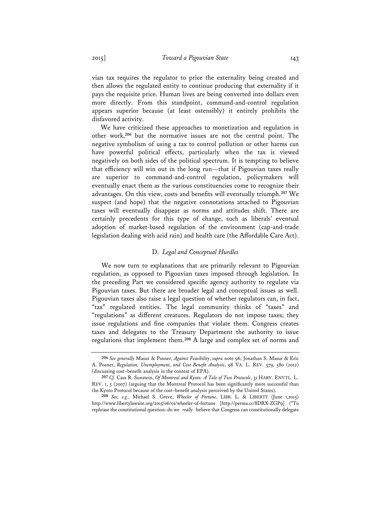vian tax requires the regulator to price the externality being created and then allows the regulated entity to continue producing that externality if it pays the requisite price. Human lives are being converted into dollars even more directly. From this standpoint, command-and-control regulation appears superior because (at least ostensibly) it entirely prohibits the disfavored activity.

 We have criticized these approaches to monetization and regulation in other work,**<sup>206</sup>** but the normative issues are not the central point. The negative symbolism of using a tax to control pollution or other harms can have powerful political effects, particularly when the tax is viewed negatively on both sides of the political spectrum. It is tempting to believe that efficiency will win out in the long run—that if Pigouvian taxes really are superior to command-and-control regulation, policymakers will eventually enact them as the various constituencies come to recognize their advantages. On this view, costs and benefits will eventually triumph.**<sup>207</sup>** We suspect (and hope) that the negative connotations attached to Pigouvian taxes will eventually disappear as norms and attitudes shift. There are certainly precedents for this type of change, such as liberals' eventual adoption of market-based regulation of the environment (cap-and-trade legislation dealing with acid rain) and health care (the Affordable Care Act).

#### D. *Legal and Conceptual Hurdles*

We now turn to explanations that are primarily relevant to Pigouvian regulation, as opposed to Pigouvian taxes imposed through legislation. In the preceding Part we considered specific agency authority to regulate via Pigouvian taxes. But there are broader legal and conceptual issues as well. Pigouvian taxes also raise a legal question of whether regulators can, in fact, "tax" regulated entities. The legal community thinks of "taxes" and "regulations" as different creatures. Regulators do not impose taxes; they issue regulations and fine companies that violate them. Congress creates taxes and delegates to the Treasury Department the authority to issue regulations that implement them.**<sup>208</sup>** A large and complex set of norms and

**<sup>206</sup>** *See generally* Masur & Posner, *Against Feasibility*, *supra* note 96; Jonathan S. Masur & Eric A. Posner, *Regulation, Unemployment, and Cost-Benefit Analysis*, 98 VA. L. REV. 579, 580 (2012) (discussing cost–benefit analysis in the context of EPA).

**<sup>207</sup>** *Cf.* Cass R. Sunstein, *Of Montreal and Kyoto: A Tale of Two Protocols*, 31 HARV. ENVTL. L. REV. 1, 5 (2007) (arguing that the Montreal Protocol has been significantly more successful than the Kyoto Protocol because of the cost–benefit analysis perceived by the United States).

**<sup>208</sup>** *See, e.g.*, Michael S. Greve, *Wheeler of Fortune*, LIBR. L. & LIBERTY (June 1,2015) http://www.libertylawsite.org/2015/06/01/wheeler-of-fortune [http://perma.cc/8DRX-ZGP9] ("To rephrase the constitutional question: do we *really* believe that Congress can constitutionally delegate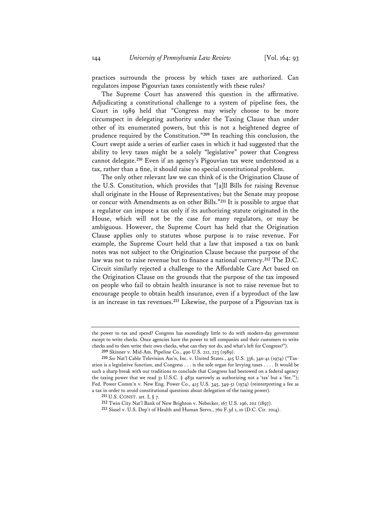practices surrounds the process by which taxes are authorized. Can regulators impose Pigouvian taxes consistently with these rules?

The Supreme Court has answered this question in the affirmative. Adjudicating a constitutional challenge to a system of pipeline fees, the Court in 1989 held that "Congress may wisely choose to be more circumspect in delegating authority under the Taxing Clause than under other of its enumerated powers, but this is not a heightened degree of prudence required by the Constitution."**<sup>209</sup>** In reaching this conclusion, the Court swept aside a series of earlier cases in which it had suggested that the ability to levy taxes might be a solely "legislative" power that Congress cannot delegate.**<sup>210</sup>** Even if an agency's Pigouvian tax were understood as a tax, rather than a fine, it should raise no special constitutional problem.

 The only other relevant law we can think of is the Origination Clause of the U.S. Constitution, which provides that "[a]ll Bills for raising Revenue shall originate in the House of Representatives; but the Senate may propose or concur with Amendments as on other Bills."**<sup>211</sup>** It is possible to argue that a regulator can impose a tax only if its authorizing statute originated in the House, which will not be the case for many regulators, or may be ambiguous. However, the Supreme Court has held that the Origination Clause applies only to statutes whose purpose is to raise revenue. For example, the Supreme Court held that a law that imposed a tax on bank notes was not subject to the Origination Clause because the purpose of the law was not to raise revenue but to finance a national currency.**<sup>212</sup>** The D.C. Circuit similarly rejected a challenge to the Affordable Care Act based on the Origination Clause on the grounds that the purpose of the tax imposed on people who fail to obtain health insurance is not to raise revenue but to encourage people to obtain health insurance, even if a byproduct of the law is an increase in tax revenues.**<sup>213</sup>** Likewise, the purpose of a Pigouvian tax is

the power to tax and spend? Congress has exceedingly little to do with modern-day government except to write checks. Once agencies have the power to tell companies and their customers to write checks and to then write their own checks, what can they not do, and what's left for Congress?").

**<sup>209</sup>** Skinner v. Mid-Am. Pipeline Co., 490 U.S. 212, 223 (1989).

**<sup>210</sup>** *See* Nat'l Cable Television Ass'n, Inc. v. United States., 415 U.S. 336, 340-41 (1974) ("Taxation is a legislative function, and Congress . . . is the sole organ for levying taxes . . . . It would be such a sharp break with our traditions to conclude that Congress had bestowed on a federal agency the taxing power that we read 31 U.S.C. § 483a narrowly as authorizing not a 'tax' but a 'fee."); Fed. Power Comm'n v. New Eng. Power Co., 415 U.S. 345, 349-51 (1974) (reinterpreting a fee as a tax in order to avoid constitutional questions about delegation of the taxing power).

**<sup>211</sup>** U.S. CONST. art. I, § 7.

**<sup>212</sup>** Twin City Nat'l Bank of New Brighton v. Nebecker, 167 U.S. 196, 202 (1897).

**<sup>213</sup>** Sissel v. U.S. Dep't of Health and Human Servs., 760 F.3d 1, 10 (D.C. Cir. 2014).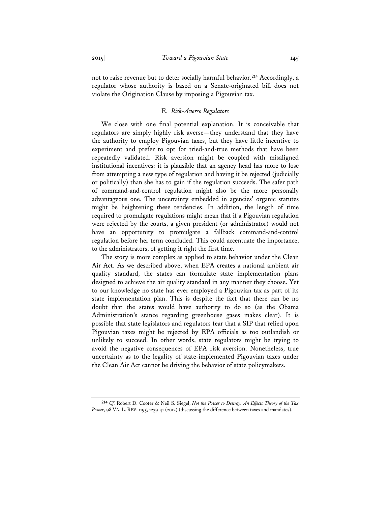not to raise revenue but to deter socially harmful behavior.**<sup>214</sup>** Accordingly, a regulator whose authority is based on a Senate-originated bill does not violate the Origination Clause by imposing a Pigouvian tax.

## E. *Risk-Averse Regulators*

We close with one final potential explanation. It is conceivable that regulators are simply highly risk averse—they understand that they have the authority to employ Pigouvian taxes, but they have little incentive to experiment and prefer to opt for tried-and-true methods that have been repeatedly validated. Risk aversion might be coupled with misaligned institutional incentives: it is plausible that an agency head has more to lose from attempting a new type of regulation and having it be rejected (judicially or politically) than she has to gain if the regulation succeeds. The safer path of command-and-control regulation might also be the more personally advantageous one. The uncertainty embedded in agencies' organic statutes might be heightening these tendencies. In addition, the length of time required to promulgate regulations might mean that if a Pigouvian regulation were rejected by the courts, a given president (or administrator) would not have an opportunity to promulgate a fallback command-and-control regulation before her term concluded. This could accentuate the importance, to the administrators, of getting it right the first time.

 The story is more complex as applied to state behavior under the Clean Air Act. As we described above, when EPA creates a national ambient air quality standard, the states can formulate state implementation plans designed to achieve the air quality standard in any manner they choose. Yet to our knowledge no state has ever employed a Pigouvian tax as part of its state implementation plan. This is despite the fact that there can be no doubt that the states would have authority to do so (as the Obama Administration's stance regarding greenhouse gases makes clear). It is possible that state legislators and regulators fear that a SIP that relied upon Pigouvian taxes might be rejected by EPA officials as too outlandish or unlikely to succeed. In other words, state regulators might be trying to avoid the negative consequences of EPA risk aversion. Nonetheless, true uncertainty as to the legality of state-implemented Pigouvian taxes under the Clean Air Act cannot be driving the behavior of state policymakers.

**<sup>214</sup>** *Cf.* Robert D. Cooter & Neil S. Siegel, *Not the Power to Destroy: An Effects Theory of the Tax Power*, 98 VA. L. REV. 1195, 1239-41 (2012) (discussing the difference between taxes and mandates).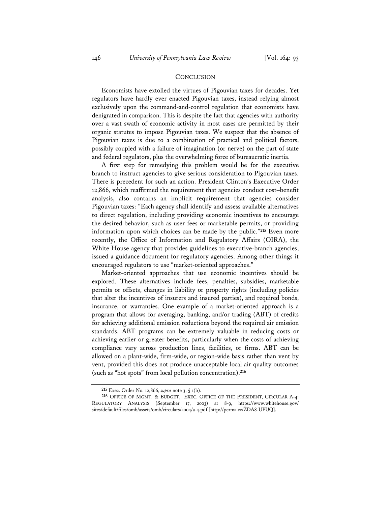#### **CONCLUSION**

Economists have extolled the virtues of Pigouvian taxes for decades. Yet regulators have hardly ever enacted Pigouvian taxes, instead relying almost exclusively upon the command-and-control regulation that economists have denigrated in comparison. This is despite the fact that agencies with authority over a vast swath of economic activity in most cases are permitted by their organic statutes to impose Pigouvian taxes. We suspect that the absence of Pigouvian taxes is due to a combination of practical and political factors, possibly coupled with a failure of imagination (or nerve) on the part of state and federal regulators, plus the overwhelming force of bureaucratic inertia.

 A first step for remedying this problem would be for the executive branch to instruct agencies to give serious consideration to Pigouvian taxes. There is precedent for such an action. President Clinton's Executive Order 12,866, which reaffirmed the requirement that agencies conduct cost–benefit analysis, also contains an implicit requirement that agencies consider Pigouvian taxes: "Each agency shall identify and assess available alternatives to direct regulation, including providing economic incentives to encourage the desired behavior, such as user fees or marketable permits, or providing information upon which choices can be made by the public."**<sup>215</sup>** Even more recently, the Office of Information and Regulatory Affairs (OIRA), the White House agency that provides guidelines to executive-branch agencies, issued a guidance document for regulatory agencies. Among other things it encouraged regulators to use "market-oriented approaches."

 Market-oriented approaches that use economic incentives should be explored. These alternatives include fees, penalties, subsidies, marketable permits or offsets, changes in liability or property rights (including policies that alter the incentives of insurers and insured parties), and required bonds, insurance, or warranties. One example of a market-oriented approach is a program that allows for averaging, banking, and/or trading (ABT) of credits for achieving additional emission reductions beyond the required air emission standards. ABT programs can be extremely valuable in reducing costs or achieving earlier or greater benefits, particularly when the costs of achieving compliance vary across production lines, facilities, or firms. ABT can be allowed on a plant-wide, firm-wide, or region-wide basis rather than vent by vent, provided this does not produce unacceptable local air quality outcomes (such as "hot spots" from local pollution concentration).**<sup>216</sup>**

**<sup>215</sup>** Exec. Order No. 12,866, *supra* note 3, § 1(b).

**<sup>216</sup>** OFFICE OF MGMT. & BUDGET, EXEC. OFFICE OF THE PRESIDENT, CIRCULAR A-4: REGULATORY ANALYSIS (September 17, 2003) at 8-9, https://www.whitehouse.gov/ sites/default/files/omb/assets/omb/circulars/a004/a-4.pdf [http://perma.cc/ZDA8-UPUQ].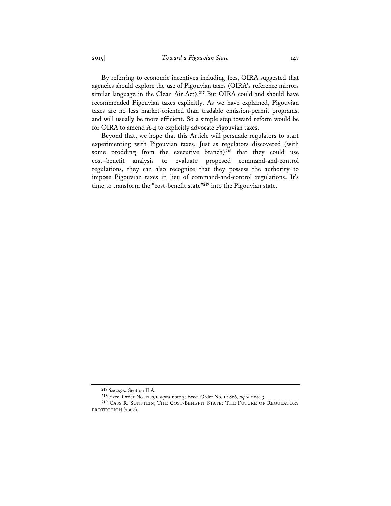By referring to economic incentives including fees, OIRA suggested that agencies should explore the use of Pigouvian taxes (OIRA's reference mirrors similar language in the Clean Air Act).**<sup>217</sup>** But OIRA could and should have recommended Pigouvian taxes explicitly. As we have explained, Pigouvian taxes are no less market-oriented than tradable emission-permit programs, and will usually be more efficient. So a simple step toward reform would be for OIRA to amend A-4 to explicitly advocate Pigouvian taxes.

Beyond that, we hope that this Article will persuade regulators to start experimenting with Pigouvian taxes. Just as regulators discovered (with some prodding from the executive branch)**<sup>218</sup>** that they could use cost–benefit analysis to evaluate proposed command-and-control regulations, they can also recognize that they possess the authority to impose Pigouvian taxes in lieu of command-and-control regulations. It's time to transform the "cost-benefit state"**<sup>219</sup>** into the Pigouvian state.

**<sup>217</sup>** *See supra* Section II.A.

**<sup>218</sup>** Exec. Order No. 12,291, *supra* note 3; Exec. Order No. 12,866, *supra* note 3.

**<sup>219</sup>** CASS R. SUNSTEIN, THE COST-BENEFIT STATE: THE FUTURE OF REGULATORY PROTECTION (2002).